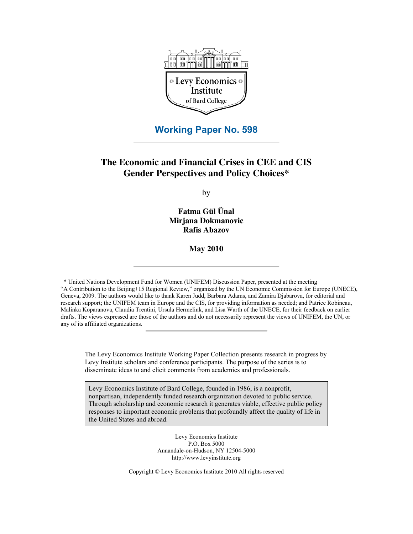

# **Working Paper No. 598**

# **The Economic and Financial Crises in CEE and CIS Gender Perspectives and Policy Choices\***

by

**Fatma Gül Ünal Mirjana Dokmanovic Rafis Abazov**

**May 2010**

\* United Nations Development Fund for Women (UNIFEM) Discussion Paper, presented at the meeting "A Contribution to the Beijing+15 Regional Review," organized by the UN Economic Commission for Europe (UNECE), Geneva, 2009. The authors would like to thank Karen Judd, Barbara Adams, and Zamira Djabarova, for editorial and research support; the UNIFEM team in Europe and the CIS, for providing information as needed; and Patrice Robineau, Malinka Koparanova, Claudia Trentini, Ursula Hermelink, and Lisa Warth of the UNECE, for their feedback on earlier drafts. The views expressed are those of the authors and do not necessarily represent the views of UNIFEM, the UN, or any of its affiliated organizations.

The Levy Economics Institute Working Paper Collection presents research in progress by Levy Institute scholars and conference participants. The purpose of the series is to disseminate ideas to and elicit comments from academics and professionals.

Levy Economics Institute of Bard College, founded in 1986, is a nonprofit, nonpartisan, independently funded research organization devoted to public service. Through scholarship and economic research it generates viable, effective public policy responses to important economic problems that profoundly affect the quality of life in the United States and abroad.

> Levy Economics Institute P.O. Box 5000 Annandale-on-Hudson, NY 12504-5000 http://www.levyinstitute.org

Copyright © Levy Economics Institute 2010 All rights reserved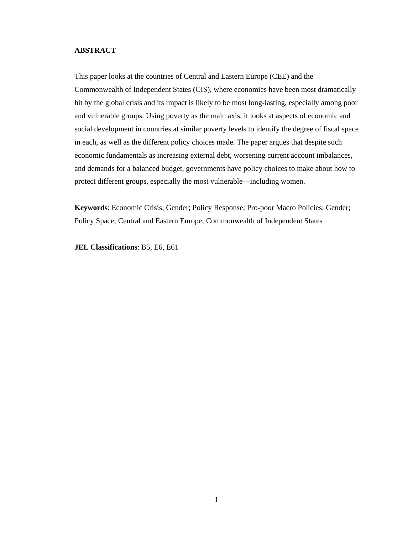## **ABSTRACT**

This paper looks at the countries of Central and Eastern Europe (CEE) and the Commonwealth of Independent States (CIS), where economies have been most dramatically hit by the global crisis and its impact is likely to be most long-lasting, especially among poor and vulnerable groups. Using poverty as the main axis, it looks at aspects of economic and social development in countries at similar poverty levels to identify the degree of fiscal space in each, as well as the different policy choices made. The paper argues that despite such economic fundamentals as increasing external debt, worsening current account imbalances, and demands for a balanced budget, governments have policy choices to make about how to protect different groups, especially the most vulnerable—including women.

**Keywords**: Economic Crisis; Gender; Policy Response; Pro-poor Macro Policies; Gender; Policy Space; Central and Eastern Europe; Commonwealth of Independent States

**JEL Classifications**: B5, E6, E61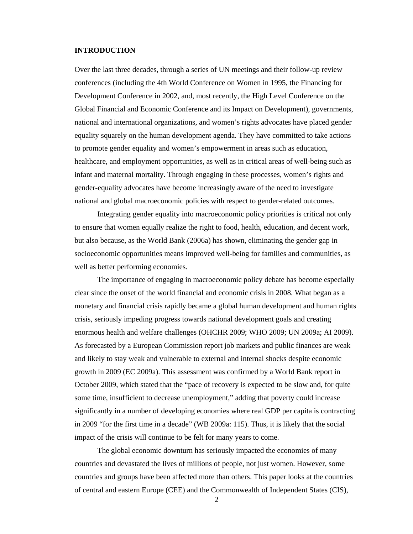## **INTRODUCTION**

Over the last three decades, through a series of UN meetings and their follow-up review conferences (including the 4th World Conference on Women in 1995, the Financing for Development Conference in 2002, and, most recently, the High Level Conference on the Global Financial and Economic Conference and its Impact on Development), governments, national and international organizations, and women's rights advocates have placed gender equality squarely on the human development agenda. They have committed to take actions to promote gender equality and women's empowerment in areas such as education, healthcare, and employment opportunities, as well as in critical areas of well-being such as infant and maternal mortality. Through engaging in these processes, women's rights and gender-equality advocates have become increasingly aware of the need to investigate national and global macroeconomic policies with respect to gender-related outcomes.

Integrating gender equality into macroeconomic policy priorities is critical not only to ensure that women equally realize the right to food, health, education, and decent work, but also because, as the World Bank (2006a) has shown, eliminating the gender gap in socioeconomic opportunities means improved well-being for families and communities, as well as better performing economies.

The importance of engaging in macroeconomic policy debate has become especially clear since the onset of the world financial and economic crisis in 2008. What began as a monetary and financial crisis rapidly became a global human development and human rights crisis, seriously impeding progress towards national development goals and creating enormous health and welfare challenges (OHCHR 2009; WHO 2009; UN 2009a; AI 2009). As forecasted by a European Commission report job markets and public finances are weak and likely to stay weak and vulnerable to external and internal shocks despite economic growth in 2009 (EC 2009a). This assessment was confirmed by a World Bank report in October 2009, which stated that the "pace of recovery is expected to be slow and, for quite some time, insufficient to decrease unemployment," adding that poverty could increase significantly in a number of developing economies where real GDP per capita is contracting in 2009 "for the first time in a decade" (WB 2009a: 115). Thus, it is likely that the social impact of the crisis will continue to be felt for many years to come.

The global economic downturn has seriously impacted the economies of many countries and devastated the lives of millions of people, not just women. However, some countries and groups have been affected more than others. This paper looks at the countries of central and eastern Europe (CEE) and the Commonwealth of Independent States (CIS),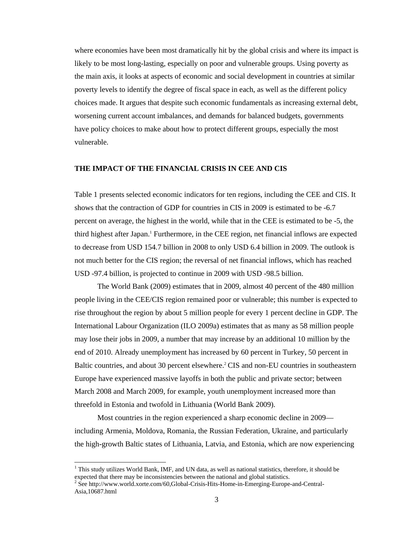where economies have been most dramatically hit by the global crisis and where its impact is likely to be most long-lasting, especially on poor and vulnerable groups. Using poverty as the main axis, it looks at aspects of economic and social development in countries at similar poverty levels to identify the degree of fiscal space in each, as well as the different policy choices made. It argues that despite such economic fundamentals as increasing external debt, worsening current account imbalances, and demands for balanced budgets, governments have policy choices to make about how to protect different groups, especially the most vulnerable.

## **THE IMPACT OF THE FINANCIAL CRISIS IN CEE AND CIS**

Table 1 presents selected economic indicators for ten regions, including the CEE and CIS. It shows that the contraction of GDP for countries in CIS in 2009 is estimated to be -6.7 percent on average, the highest in the world, while that in the CEE is estimated to be -5, the third highest after Japan.<sup>1</sup> Furthermore, in the CEE region, net financial inflows are expected to decrease from USD 154.7 billion in 2008 to only USD 6.4 billion in 2009. The outlook is not much better for the CIS region; the reversal of net financial inflows, which has reached USD -97.4 billion, is projected to continue in 2009 with USD -98.5 billion.

The World Bank (2009) estimates that in 2009, almost 40 percent of the 480 million people living in the CEE/CIS region remained poor or vulnerable; this number is expected to rise throughout the region by about 5 million people for every 1 percent decline in GDP. The International Labour Organization (ILO 2009a) estimates that as many as 58 million people may lose their jobs in 2009, a number that may increase by an additional 10 million by the end of 2010. Already unemployment has increased by 60 percent in Turkey, 50 percent in Baltic countries, and about 30 percent elsewhere.<sup>2</sup> CIS and non-EU countries in southeastern Europe have experienced massive layoffs in both the public and private sector; between March 2008 and March 2009, for example, youth unemployment increased more than threefold in Estonia and twofold in Lithuania (World Bank 2009).

Most countries in the region experienced a sharp economic decline in 2009 including Armenia, Moldova, Romania, the Russian Federation, Ukraine, and particularly the high-growth Baltic states of Lithuania, Latvia, and Estonia, which are now experiencing

<sup>&</sup>lt;sup>1</sup> This study utilizes World Bank, IMF, and UN data, as well as national statistics, therefore, it should be expected that there may be inconsistencies between the national and global statistics.

<sup>&</sup>lt;sup>2</sup> See http://www.world.xorte.com/60,Global-Crisis-Hits-Home-in-Emerging-Europe-and-Central-Asia,10687.html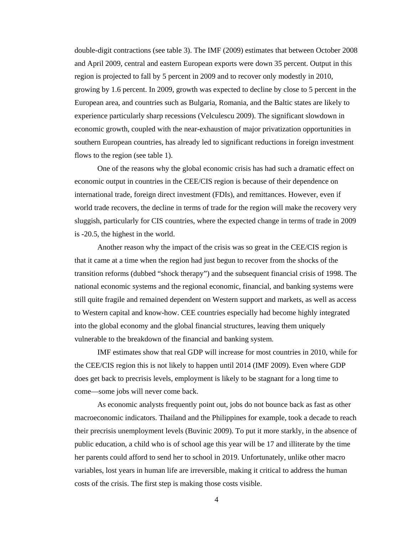double-digit contractions (see table 3). The IMF (2009) estimates that between October 2008 and April 2009, central and eastern European exports were down 35 percent. Output in this region is projected to fall by 5 percent in 2009 and to recover only modestly in 2010, growing by 1.6 percent. In 2009, growth was expected to decline by close to 5 percent in the European area, and countries such as Bulgaria, Romania, and the Baltic states are likely to experience particularly sharp recessions (Velculescu 2009). The significant slowdown in economic growth, coupled with the near-exhaustion of major privatization opportunities in southern European countries, has already led to significant reductions in foreign investment flows to the region (see table 1).

One of the reasons why the global economic crisis has had such a dramatic effect on economic output in countries in the CEE/CIS region is because of their dependence on international trade, foreign direct investment (FDIs), and remittances. However, even if world trade recovers, the decline in terms of trade for the region will make the recovery very sluggish, particularly for CIS countries, where the expected change in terms of trade in 2009 is -20.5, the highest in the world.

Another reason why the impact of the crisis was so great in the CEE/CIS region is that it came at a time when the region had just begun to recover from the shocks of the transition reforms (dubbed "shock therapy") and the subsequent financial crisis of 1998. The national economic systems and the regional economic, financial, and banking systems were still quite fragile and remained dependent on Western support and markets, as well as access to Western capital and know-how. CEE countries especially had become highly integrated into the global economy and the global financial structures, leaving them uniquely vulnerable to the breakdown of the financial and banking system.

IMF estimates show that real GDP will increase for most countries in 2010, while for the CEE/CIS region this is not likely to happen until 2014 (IMF 2009). Even where GDP does get back to precrisis levels, employment is likely to be stagnant for a long time to come—some jobs will never come back.

As economic analysts frequently point out, jobs do not bounce back as fast as other macroeconomic indicators. Thailand and the Philippines for example, took a decade to reach their precrisis unemployment levels (Buvinic 2009). To put it more starkly, in the absence of public education, a child who is of school age this year will be 17 and illiterate by the time her parents could afford to send her to school in 2019. Unfortunately, unlike other macro variables, lost years in human life are irreversible, making it critical to address the human costs of the crisis. The first step is making those costs visible.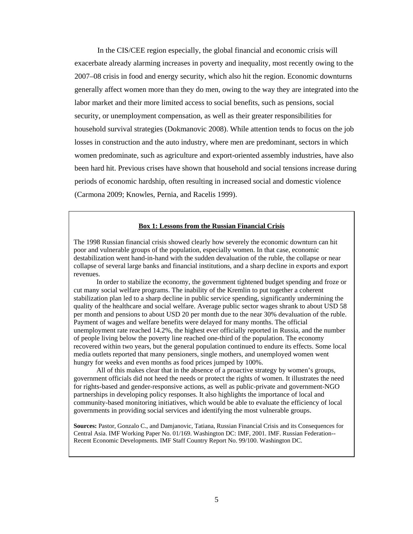In the CIS/CEE region especially, the global financial and economic crisis will exacerbate already alarming increases in poverty and inequality, most recently owing to the 2007–08 crisis in food and energy security, which also hit the region. Economic downturns generally affect women more than they do men, owing to the way they are integrated into the labor market and their more limited access to social benefits, such as pensions, social security, or unemployment compensation, as well as their greater responsibilities for household survival strategies (Dokmanovic 2008). While attention tends to focus on the job losses in construction and the auto industry, where men are predominant, sectors in which women predominate, such as agriculture and export-oriented assembly industries, have also been hard hit. Previous crises have shown that household and social tensions increase during periods of economic hardship, often resulting in increased social and domestic violence (Carmona 2009; Knowles, Pernia, and Racelis 1999).

## **Box 1: Lessons from the Russian Financial Crisis**

The 1998 Russian financial crisis showed clearly how severely the economic downturn can hit poor and vulnerable groups of the population, especially women. In that case, economic destabilization went hand-in-hand with the sudden devaluation of the ruble, the collapse or near collapse of several large banks and financial institutions, and a sharp decline in exports and export revenues.

In order to stabilize the economy, the government tightened budget spending and froze or cut many social welfare programs. The inability of the Kremlin to put together a coherent stabilization plan led to a sharp decline in public service spending, significantly undermining the quality of the healthcare and social welfare. Average public sector wages shrank to about USD 58 per month and pensions to about USD 20 per month due to the near 30% devaluation of the ruble. Payment of wages and welfare benefits were delayed for many months. The official unemployment rate reached 14.2%, the highest ever officially reported in Russia, and the number of people living below the poverty line reached one-third of the population. The economy recovered within two years, but the general population continued to endure its effects. Some local media outlets reported that many pensioners, single mothers, and unemployed women went hungry for weeks and even months as food prices jumped by 100%.

All of this makes clear that in the absence of a proactive strategy by women's groups, government officials did not heed the needs or protect the rights of women. It illustrates the need for rights-based and gender-responsive actions, as well as public-private and government-NGO partnerships in developing policy responses. It also highlights the importance of local and community-based monitoring initiatives, which would be able to evaluate the efficiency of local governments in providing social services and identifying the most vulnerable groups.

**Sources:** Pastor, Gonzalo C., and Damjanovic, Tatiana, Russian Financial Crisis and its Consequences for Central Asia. IMF Working Paper No. 01/169. Washington DC: IMF, 2001. IMF. Russian Federation-- Recent Economic Developments. IMF Staff Country Report No. 99/100. Washington DC.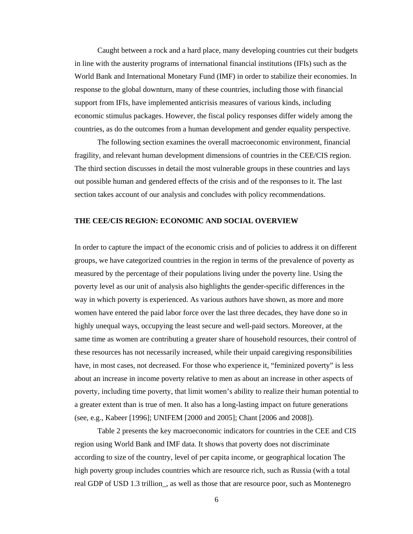Caught between a rock and a hard place, many developing countries cut their budgets in line with the austerity programs of international financial institutions (IFIs) such as the World Bank and International Monetary Fund (IMF) in order to stabilize their economies. In response to the global downturn, many of these countries, including those with financial support from IFIs, have implemented anticrisis measures of various kinds, including economic stimulus packages. However, the fiscal policy responses differ widely among the countries, as do the outcomes from a human development and gender equality perspective.

The following section examines the overall macroeconomic environment, financial fragility, and relevant human development dimensions of countries in the CEE/CIS region. The third section discusses in detail the most vulnerable groups in these countries and lays out possible human and gendered effects of the crisis and of the responses to it. The last section takes account of our analysis and concludes with policy recommendations.

#### **THE CEE/CIS REGION: ECONOMIC AND SOCIAL OVERVIEW**

In order to capture the impact of the economic crisis and of policies to address it on different groups, we have categorized countries in the region in terms of the prevalence of poverty as measured by the percentage of their populations living under the poverty line. Using the poverty level as our unit of analysis also highlights the gender-specific differences in the way in which poverty is experienced. As various authors have shown, as more and more women have entered the paid labor force over the last three decades, they have done so in highly unequal ways, occupying the least secure and well-paid sectors. Moreover, at the same time as women are contributing a greater share of household resources, their control of these resources has not necessarily increased, while their unpaid caregiving responsibilities have, in most cases, not decreased. For those who experience it, "feminized poverty" is less about an increase in income poverty relative to men as about an increase in other aspects of poverty, including time poverty, that limit women's ability to realize their human potential to a greater extent than is true of men. It also has a long-lasting impact on future generations (see, e.g., Kabeer [1996]; UNIFEM [2000 and 2005]; Chant [2006 and 2008]).

 Table 2 presents the key macroeconomic indicators for countries in the CEE and CIS region using World Bank and IMF data. It shows that poverty does not discriminate according to size of the country, level of per capita income, or geographical location The high poverty group includes countries which are resource rich, such as Russia (with a total real GDP of USD 1.3 trillion\_, as well as those that are resource poor, such as Montenegro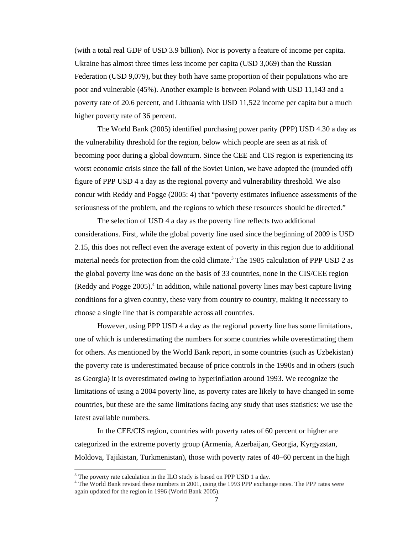(with a total real GDP of USD 3.9 billion). Nor is poverty a feature of income per capita. Ukraine has almost three times less income per capita (USD 3,069) than the Russian Federation (USD 9,079), but they both have same proportion of their populations who are poor and vulnerable (45%). Another example is between Poland with USD 11,143 and a poverty rate of 20.6 percent, and Lithuania with USD 11,522 income per capita but a much higher poverty rate of 36 percent.

The World Bank (2005) identified purchasing power parity (PPP) USD 4.30 a day as the vulnerability threshold for the region, below which people are seen as at risk of becoming poor during a global downturn. Since the CEE and CIS region is experiencing its worst economic crisis since the fall of the Soviet Union, we have adopted the (rounded off) figure of PPP USD 4 a day as the regional poverty and vulnerability threshold. We also concur with Reddy and Pogge (2005: 4) that "poverty estimates influence assessments of the seriousness of the problem, and the regions to which these resources should be directed."

The selection of USD 4 a day as the poverty line reflects two additional considerations. First, while the global poverty line used since the beginning of 2009 is USD 2.15, this does not reflect even the average extent of poverty in this region due to additional material needs for protection from the cold climate.<sup>3</sup> The 1985 calculation of PPP USD 2 as the global poverty line was done on the basis of 33 countries, none in the CIS/CEE region (Reddy and Pogge 2005).<sup>4</sup> In addition, while national poverty lines may best capture living conditions for a given country, these vary from country to country, making it necessary to choose a single line that is comparable across all countries.

However, using PPP USD 4 a day as the regional poverty line has some limitations, one of which is underestimating the numbers for some countries while overestimating them for others. As mentioned by the World Bank report, in some countries (such as Uzbekistan) the poverty rate is underestimated because of price controls in the 1990s and in others (such as Georgia) it is overestimated owing to hyperinflation around 1993. We recognize the limitations of using a 2004 poverty line, as poverty rates are likely to have changed in some countries, but these are the same limitations facing any study that uses statistics: we use the latest available numbers.

In the CEE/CIS region, countries with poverty rates of 60 percent or higher are categorized in the extreme poverty group (Armenia, Azerbaijan, Georgia, Kyrgyzstan, Moldova, Tajikistan, Turkmenistan), those with poverty rates of 40–60 percent in the high

 $3$  The poverty rate calculation in the ILO study is based on PPP USD 1 a day.

<sup>&</sup>lt;sup>4</sup> The World Bank revised these numbers in 2001, using the 1993 PPP exchange rates. The PPP rates were again updated for the region in 1996 (World Bank 2005).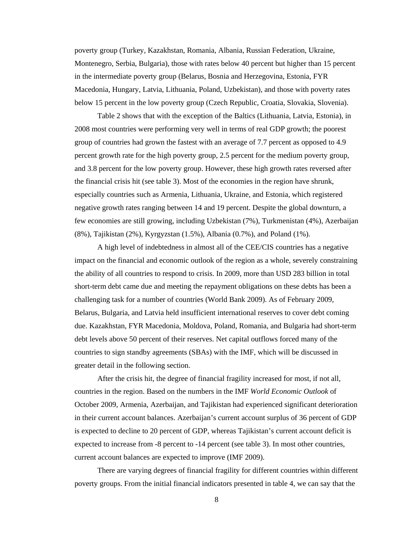poverty group (Turkey, Kazakhstan, Romania, Albania, Russian Federation, Ukraine, Montenegro, Serbia, Bulgaria), those with rates below 40 percent but higher than 15 percent in the intermediate poverty group (Belarus, Bosnia and Herzegovina, Estonia, FYR Macedonia, Hungary, Latvia, Lithuania, Poland, Uzbekistan), and those with poverty rates below 15 percent in the low poverty group (Czech Republic, Croatia, Slovakia, Slovenia).

Table 2 shows that with the exception of the Baltics (Lithuania, Latvia, Estonia), in 2008 most countries were performing very well in terms of real GDP growth; the poorest group of countries had grown the fastest with an average of 7.7 percent as opposed to 4.9 percent growth rate for the high poverty group, 2.5 percent for the medium poverty group, and 3.8 percent for the low poverty group. However, these high growth rates reversed after the financial crisis hit (see table 3). Most of the economies in the region have shrunk, especially countries such as Armenia, Lithuania, Ukraine, and Estonia, which registered negative growth rates ranging between 14 and 19 percent. Despite the global downturn, a few economies are still growing, including Uzbekistan (7%), Turkmenistan (4%), Azerbaijan (8%), Tajikistan (2%), Kyrgyzstan (1.5%), Albania (0.7%), and Poland (1%).

A high level of indebtedness in almost all of the CEE/CIS countries has a negative impact on the financial and economic outlook of the region as a whole, severely constraining the ability of all countries to respond to crisis. In 2009, more than USD 283 billion in total short-term debt came due and meeting the repayment obligations on these debts has been a challenging task for a number of countries (World Bank 2009). As of February 2009, Belarus, Bulgaria, and Latvia held insufficient international reserves to cover debt coming due. Kazakhstan, FYR Macedonia, Moldova, Poland, Romania, and Bulgaria had short-term debt levels above 50 percent of their reserves. Net capital outflows forced many of the countries to sign standby agreements (SBAs) with the IMF, which will be discussed in greater detail in the following section.

After the crisis hit, the degree of financial fragility increased for most, if not all, countries in the region. Based on the numbers in the IMF *World Economic Outlook* of October 2009, Armenia, Azerbaijan, and Tajikistan had experienced significant deterioration in their current account balances. Azerbaijan's current account surplus of 36 percent of GDP is expected to decline to 20 percent of GDP, whereas Tajikistan's current account deficit is expected to increase from -8 percent to -14 percent (see table 3). In most other countries, current account balances are expected to improve (IMF 2009).

There are varying degrees of financial fragility for different countries within different poverty groups. From the initial financial indicators presented in table 4, we can say that the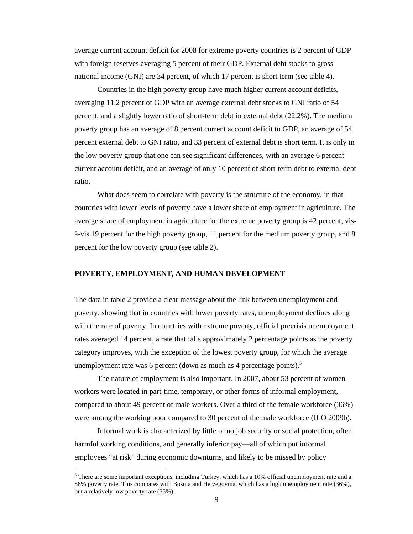average current account deficit for 2008 for extreme poverty countries is 2 percent of GDP with foreign reserves averaging 5 percent of their GDP. External debt stocks to gross national income (GNI) are 34 percent, of which 17 percent is short term (see table 4).

Countries in the high poverty group have much higher current account deficits, averaging 11.2 percent of GDP with an average external debt stocks to GNI ratio of 54 percent, and a slightly lower ratio of short-term debt in external debt (22.2%). The medium poverty group has an average of 8 percent current account deficit to GDP, an average of 54 percent external debt to GNI ratio, and 33 percent of external debt is short term. It is only in the low poverty group that one can see significant differences, with an average 6 percent current account deficit, and an average of only 10 percent of short-term debt to external debt ratio.

What does seem to correlate with poverty is the structure of the economy, in that countries with lower levels of poverty have a lower share of employment in agriculture. The average share of employment in agriculture for the extreme poverty group is 42 percent, visà-vis 19 percent for the high poverty group, 11 percent for the medium poverty group, and 8 percent for the low poverty group (see table 2).

### **POVERTY, EMPLOYMENT, AND HUMAN DEVELOPMENT**

The data in table 2 provide a clear message about the link between unemployment and poverty, showing that in countries with lower poverty rates, unemployment declines along with the rate of poverty. In countries with extreme poverty, official precrisis unemployment rates averaged 14 percent, a rate that falls approximately 2 percentage points as the poverty category improves, with the exception of the lowest poverty group, for which the average unemployment rate was 6 percent (down as much as 4 percentage points). $5$ 

The nature of employment is also important. In 2007, about 53 percent of women workers were located in part-time, temporary, or other forms of informal employment, compared to about 49 percent of male workers. Over a third of the female workforce (36%) were among the working poor compared to 30 percent of the male workforce (ILO 2009b).

Informal work is characterized by little or no job security or social protection, often harmful working conditions, and generally inferior pay—all of which put informal employees "at risk" during economic downturns, and likely to be missed by policy

 $<sup>5</sup>$  There are some important exceptions, including Turkey, which has a 10% official unemployment rate and a</sup> 58% poverty rate. This compares with Bosnia and Herzegovina, which has a high unemployment rate (36%), but a relatively low poverty rate (35%).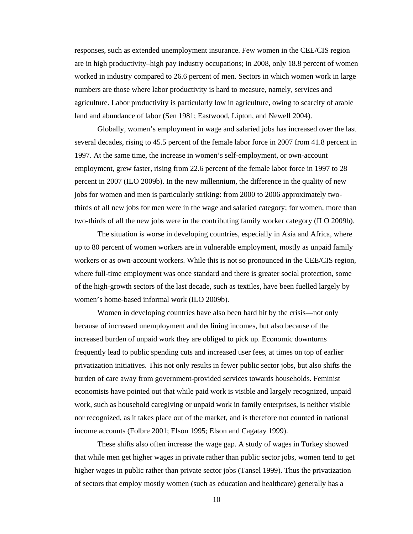responses, such as extended unemployment insurance. Few women in the CEE/CIS region are in high productivity–high pay industry occupations; in 2008, only 18.8 percent of women worked in industry compared to 26.6 percent of men. Sectors in which women work in large numbers are those where labor productivity is hard to measure, namely, services and agriculture. Labor productivity is particularly low in agriculture, owing to scarcity of arable land and abundance of labor (Sen 1981; Eastwood, Lipton, and Newell 2004).

Globally, women's employment in wage and salaried jobs has increased over the last several decades, rising to 45.5 percent of the female labor force in 2007 from 41.8 percent in 1997. At the same time, the increase in women's self-employment, or own-account employment, grew faster, rising from 22.6 percent of the female labor force in 1997 to 28 percent in 2007 (ILO 2009b). In the new millennium, the difference in the quality of new jobs for women and men is particularly striking: from 2000 to 2006 approximately twothirds of all new jobs for men were in the wage and salaried category; for women, more than two-thirds of all the new jobs were in the contributing family worker category (ILO 2009b).

The situation is worse in developing countries, especially in Asia and Africa, where up to 80 percent of women workers are in vulnerable employment, mostly as unpaid family workers or as own-account workers. While this is not so pronounced in the CEE/CIS region, where full-time employment was once standard and there is greater social protection, some of the high-growth sectors of the last decade, such as textiles, have been fuelled largely by women's home-based informal work (ILO 2009b).

Women in developing countries have also been hard hit by the crisis—not only because of increased unemployment and declining incomes, but also because of the increased burden of unpaid work they are obliged to pick up. Economic downturns frequently lead to public spending cuts and increased user fees, at times on top of earlier privatization initiatives. This not only results in fewer public sector jobs, but also shifts the burden of care away from government-provided services towards households. Feminist economists have pointed out that while paid work is visible and largely recognized, unpaid work, such as household caregiving or unpaid work in family enterprises, is neither visible nor recognized, as it takes place out of the market, and is therefore not counted in national income accounts (Folbre 2001; Elson 1995; Elson and Cagatay 1999).

These shifts also often increase the wage gap. A study of wages in Turkey showed that while men get higher wages in private rather than public sector jobs, women tend to get higher wages in public rather than private sector jobs (Tansel 1999). Thus the privatization of sectors that employ mostly women (such as education and healthcare) generally has a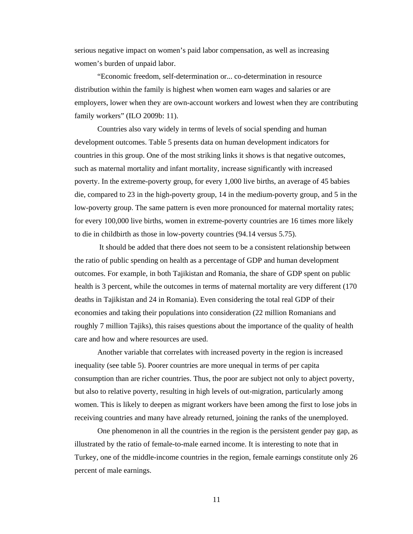serious negative impact on women's paid labor compensation, as well as increasing women's burden of unpaid labor.

"Economic freedom, self-determination or... co-determination in resource distribution within the family is highest when women earn wages and salaries or are employers, lower when they are own-account workers and lowest when they are contributing family workers" (ILO 2009b: 11).

Countries also vary widely in terms of levels of social spending and human development outcomes. Table 5 presents data on human development indicators for countries in this group. One of the most striking links it shows is that negative outcomes, such as maternal mortality and infant mortality, increase significantly with increased poverty. In the extreme-poverty group, for every 1,000 live births, an average of 45 babies die, compared to 23 in the high-poverty group, 14 in the medium-poverty group, and 5 in the low-poverty group. The same pattern is even more pronounced for maternal mortality rates; for every 100,000 live births, women in extreme-poverty countries are 16 times more likely to die in childbirth as those in low-poverty countries (94.14 versus 5.75).

 It should be added that there does not seem to be a consistent relationship between the ratio of public spending on health as a percentage of GDP and human development outcomes. For example, in both Tajikistan and Romania, the share of GDP spent on public health is 3 percent, while the outcomes in terms of maternal mortality are very different (170) deaths in Tajikistan and 24 in Romania). Even considering the total real GDP of their economies and taking their populations into consideration (22 million Romanians and roughly 7 million Tajiks), this raises questions about the importance of the quality of health care and how and where resources are used.

Another variable that correlates with increased poverty in the region is increased inequality (see table 5). Poorer countries are more unequal in terms of per capita consumption than are richer countries. Thus, the poor are subject not only to abject poverty, but also to relative poverty, resulting in high levels of out-migration, particularly among women. This is likely to deepen as migrant workers have been among the first to lose jobs in receiving countries and many have already returned, joining the ranks of the unemployed.

One phenomenon in all the countries in the region is the persistent gender pay gap, as illustrated by the ratio of female-to-male earned income. It is interesting to note that in Turkey, one of the middle-income countries in the region, female earnings constitute only 26 percent of male earnings.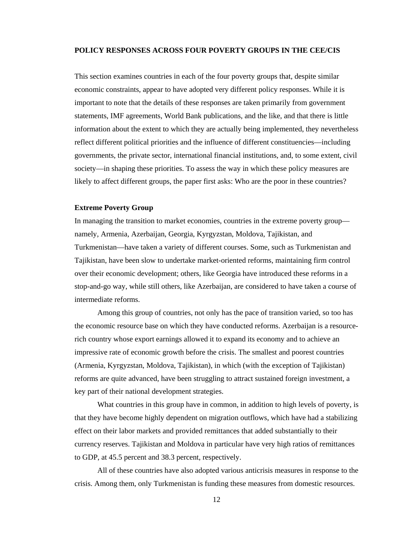### **POLICY RESPONSES ACROSS FOUR POVERTY GROUPS IN THE CEE/CIS**

This section examines countries in each of the four poverty groups that, despite similar economic constraints, appear to have adopted very different policy responses. While it is important to note that the details of these responses are taken primarily from government statements, IMF agreements, World Bank publications, and the like, and that there is little information about the extent to which they are actually being implemented, they nevertheless reflect different political priorities and the influence of different constituencies—including governments, the private sector, international financial institutions, and, to some extent, civil society—in shaping these priorities. To assess the way in which these policy measures are likely to affect different groups, the paper first asks: Who are the poor in these countries?

### **Extreme Poverty Group**

In managing the transition to market economies, countries in the extreme poverty group namely, Armenia, Azerbaijan, Georgia, Kyrgyzstan, Moldova, Tajikistan, and Turkmenistan—have taken a variety of different courses. Some, such as Turkmenistan and Tajikistan, have been slow to undertake market-oriented reforms, maintaining firm control over their economic development; others, like Georgia have introduced these reforms in a stop-and-go way, while still others, like Azerbaijan, are considered to have taken a course of intermediate reforms.

Among this group of countries, not only has the pace of transition varied, so too has the economic resource base on which they have conducted reforms. Azerbaijan is a resourcerich country whose export earnings allowed it to expand its economy and to achieve an impressive rate of economic growth before the crisis. The smallest and poorest countries (Armenia, Kyrgyzstan, Moldova, Tajikistan), in which (with the exception of Tajikistan) reforms are quite advanced, have been struggling to attract sustained foreign investment, a key part of their national development strategies.

What countries in this group have in common, in addition to high levels of poverty, is that they have become highly dependent on migration outflows, which have had a stabilizing effect on their labor markets and provided remittances that added substantially to their currency reserves. Tajikistan and Moldova in particular have very high ratios of remittances to GDP, at 45.5 percent and 38.3 percent, respectively.

All of these countries have also adopted various anticrisis measures in response to the crisis. Among them, only Turkmenistan is funding these measures from domestic resources.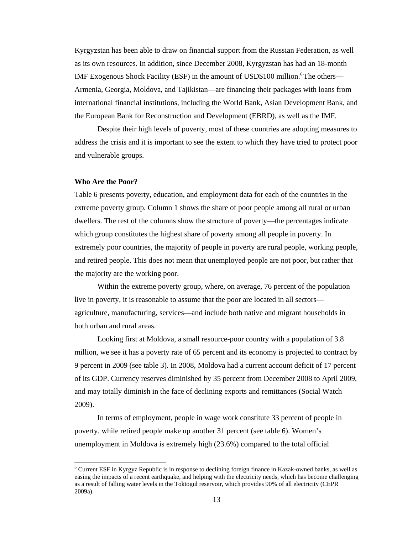Kyrgyzstan has been able to draw on financial support from the Russian Federation, as well as its own resources. In addition, since December 2008, Kyrgyzstan has had an 18-month IMF Exogenous Shock Facility (ESF) in the amount of USD\$100 million.<sup>6</sup> The others— Armenia, Georgia, Moldova, and Tajikistan—are financing their packages with loans from international financial institutions, including the World Bank, Asian Development Bank, and the European Bank for Reconstruction and Development (EBRD), as well as the IMF.

Despite their high levels of poverty, most of these countries are adopting measures to address the crisis and it is important to see the extent to which they have tried to protect poor and vulnerable groups.

### **Who Are the Poor?**

Table 6 presents poverty, education, and employment data for each of the countries in the extreme poverty group. Column 1 shows the share of poor people among all rural or urban dwellers. The rest of the columns show the structure of poverty—the percentages indicate which group constitutes the highest share of poverty among all people in poverty. In extremely poor countries, the majority of people in poverty are rural people, working people, and retired people. This does not mean that unemployed people are not poor, but rather that the majority are the working poor.

Within the extreme poverty group, where, on average, 76 percent of the population live in poverty, it is reasonable to assume that the poor are located in all sectors agriculture, manufacturing, services—and include both native and migrant households in both urban and rural areas.

Looking first at Moldova, a small resource-poor country with a population of 3.8 million, we see it has a poverty rate of 65 percent and its economy is projected to contract by 9 percent in 2009 (see table 3). In 2008, Moldova had a current account deficit of 17 percent of its GDP. Currency reserves diminished by 35 percent from December 2008 to April 2009, and may totally diminish in the face of declining exports and remittances (Social Watch 2009).

 In terms of employment, people in wage work constitute 33 percent of people in poverty, while retired people make up another 31 percent (see table 6). Women's unemployment in Moldova is extremely high (23.6%) compared to the total official

<sup>&</sup>lt;sup>6</sup> Current ESF in Kyrgyz Republic is in response to declining foreign finance in Kazak-owned banks, as well as easing the impacts of a recent earthquake, and helping with the electricity needs, which has become challenging as a result of falling water levels in the Toktogul reservoir, which provides 90% of all electricity (CEPR 2009a).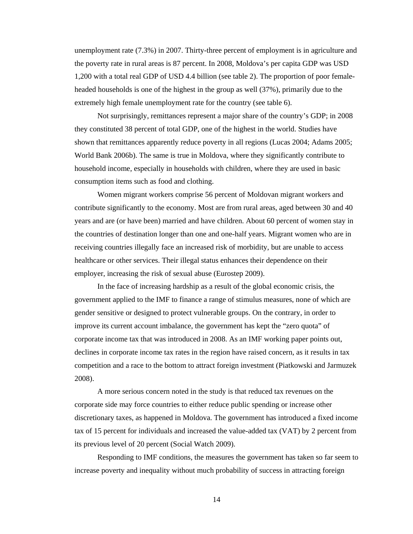unemployment rate (7.3%) in 2007. Thirty-three percent of employment is in agriculture and the poverty rate in rural areas is 87 percent. In 2008, Moldova's per capita GDP was USD 1,200 with a total real GDP of USD 4.4 billion (see table 2). The proportion of poor femaleheaded households is one of the highest in the group as well (37%), primarily due to the extremely high female unemployment rate for the country (see table 6).

Not surprisingly, remittances represent a major share of the country's GDP; in 2008 they constituted 38 percent of total GDP, one of the highest in the world. Studies have shown that remittances apparently reduce poverty in all regions (Lucas 2004; Adams 2005; World Bank 2006b). The same is true in Moldova, where they significantly contribute to household income, especially in households with children, where they are used in basic consumption items such as food and clothing.

Women migrant workers comprise 56 percent of Moldovan migrant workers and contribute significantly to the economy. Most are from rural areas, aged between 30 and 40 years and are (or have been) married and have children. About 60 percent of women stay in the countries of destination longer than one and one-half years. Migrant women who are in receiving countries illegally face an increased risk of morbidity, but are unable to access healthcare or other services. Their illegal status enhances their dependence on their employer, increasing the risk of sexual abuse (Eurostep 2009).

In the face of increasing hardship as a result of the global economic crisis, the government applied to the IMF to finance a range of stimulus measures, none of which are gender sensitive or designed to protect vulnerable groups. On the contrary, in order to improve its current account imbalance, the government has kept the "zero quota" of corporate income tax that was introduced in 2008. As an IMF working paper points out, declines in corporate income tax rates in the region have raised concern, as it results in tax competition and a race to the bottom to attract foreign investment (Piatkowski and Jarmuzek 2008).

A more serious concern noted in the study is that reduced tax revenues on the corporate side may force countries to either reduce public spending or increase other discretionary taxes, as happened in Moldova. The government has introduced a fixed income tax of 15 percent for individuals and increased the value-added tax (VAT) by 2 percent from its previous level of 20 percent (Social Watch 2009).

Responding to IMF conditions, the measures the government has taken so far seem to increase poverty and inequality without much probability of success in attracting foreign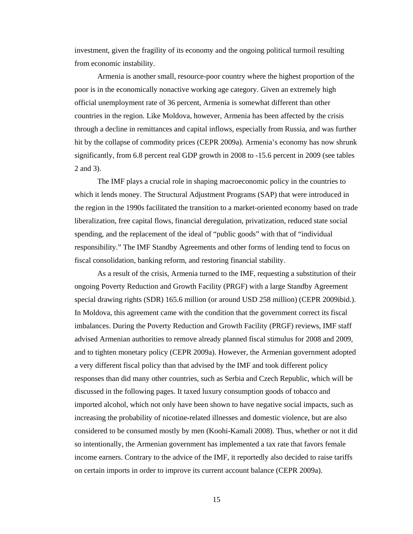investment, given the fragility of its economy and the ongoing political turmoil resulting from economic instability.

Armenia is another small, resource-poor country where the highest proportion of the poor is in the economically nonactive working age category. Given an extremely high official unemployment rate of 36 percent, Armenia is somewhat different than other countries in the region. Like Moldova, however, Armenia has been affected by the crisis through a decline in remittances and capital inflows, especially from Russia, and was further hit by the collapse of commodity prices (CEPR 2009a). Armenia's economy has now shrunk significantly, from 6.8 percent real GDP growth in 2008 to -15.6 percent in 2009 (see tables 2 and 3).

The IMF plays a crucial role in shaping macroeconomic policy in the countries to which it lends money. The Structural Adjustment Programs (SAP) that were introduced in the region in the 1990s facilitated the transition to a market-oriented economy based on trade liberalization, free capital flows, financial deregulation, privatization, reduced state social spending, and the replacement of the ideal of "public goods" with that of "individual responsibility." The IMF Standby Agreements and other forms of lending tend to focus on fiscal consolidation, banking reform, and restoring financial stability.

As a result of the crisis, Armenia turned to the IMF, requesting a substitution of their ongoing Poverty Reduction and Growth Facility (PRGF) with a large Standby Agreement special drawing rights (SDR) 165.6 million (or around USD 258 million) (CEPR 2009ibid.). In Moldova, this agreement came with the condition that the government correct its fiscal imbalances. During the Poverty Reduction and Growth Facility (PRGF) reviews, IMF staff advised Armenian authorities to remove already planned fiscal stimulus for 2008 and 2009, and to tighten monetary policy (CEPR 2009a). However, the Armenian government adopted a very different fiscal policy than that advised by the IMF and took different policy responses than did many other countries, such as Serbia and Czech Republic, which will be discussed in the following pages. It taxed luxury consumption goods of tobacco and imported alcohol, which not only have been shown to have negative social impacts, such as increasing the probability of nicotine-related illnesses and domestic violence, but are also considered to be consumed mostly by men (Koohi-Kamali 2008). Thus, whether or not it did so intentionally, the Armenian government has implemented a tax rate that favors female income earners. Contrary to the advice of the IMF, it reportedly also decided to raise tariffs on certain imports in order to improve its current account balance (CEPR 2009a).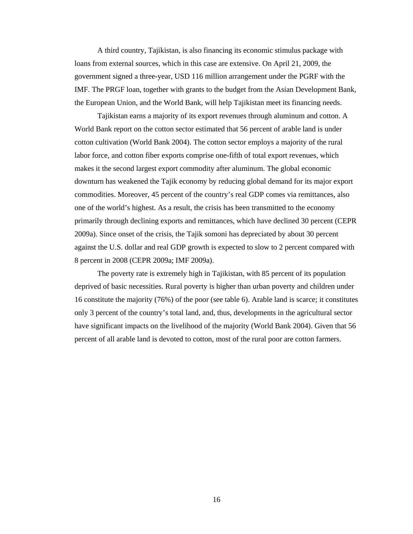A third country, Tajikistan, is also financing its economic stimulus package with loans from external sources, which in this case are extensive. On April 21, 2009, the government signed a three-year, USD 116 million arrangement under the PGRF with the IMF. The PRGF loan, together with grants to the budget from the Asian Development Bank, the European Union, and the World Bank, will help Tajikistan meet its financing needs.

Tajikistan earns a majority of its export revenues through aluminum and cotton. A World Bank report on the cotton sector estimated that 56 percent of arable land is under cotton cultivation (World Bank 2004). The cotton sector employs a majority of the rural labor force, and cotton fiber exports comprise one-fifth of total export revenues, which makes it the second largest export commodity after aluminum. The global economic downturn has weakened the Tajik economy by reducing global demand for its major export commodities. Moreover, 45 percent of the country's real GDP comes via remittances, also one of the world's highest. As a result, the crisis has been transmitted to the economy primarily through declining exports and remittances, which have declined 30 percent (CEPR 2009a). Since onset of the crisis, the Tajik somoni has depreciated by about 30 percent against the U.S. dollar and real GDP growth is expected to slow to 2 percent compared with 8 percent in 2008 (CEPR 2009a; IMF 2009a).

The poverty rate is extremely high in Tajikistan, with 85 percent of its population deprived of basic necessities. Rural poverty is higher than urban poverty and children under 16 constitute the majority (76%) of the poor (see table 6). Arable land is scarce; it constitutes only 3 percent of the country's total land, and, thus, developments in the agricultural sector have significant impacts on the livelihood of the majority (World Bank 2004). Given that 56 percent of all arable land is devoted to cotton, most of the rural poor are cotton farmers.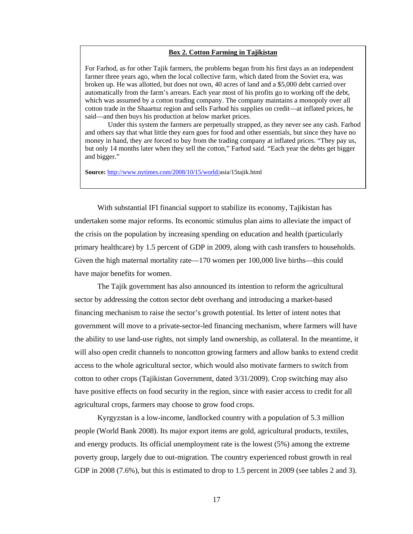### **Box 2. Cotton Farming in Tajikistan**

For Farhod, as for other Tajik farmers, the problems began from his first days as an independent farmer three years ago, when the local collective farm, which dated from the Soviet era, was broken up. He was allotted, but does not own, 40 acres of land and a \$5,000 debt carried over automatically from the farm's arrears. Each year most of his profits go to working off the debt, which was assumed by a cotton trading company. The company maintains a monopoly over all cotton trade in the Shaartuz region and sells Farhod his supplies on credit—at inflated prices, he said—and then buys his production at below market prices.

Under this system the farmers are perpetually strapped, as they never see any cash. Farhod and others say that what little they earn goes for food and other essentials, but since they have no money in hand, they are forced to buy from the trading company at inflated prices. "They pay us, but only 14 months later when they sell the cotton," Farhod said. "Each year the debts get bigger and bigger."

**Source:** http://www.nytimes.com/2008/10/15/world/asia/15tajik.html

With substantial IFI financial support to stabilize its economy, Tajikistan has undertaken some major reforms. Its economic stimulus plan aims to alleviate the impact of the crisis on the population by increasing spending on education and health (particularly primary healthcare) by 1.5 percent of GDP in 2009, along with cash transfers to households. Given the high maternal mortality rate—170 women per 100,000 live births—this could have major benefits for women.

The Tajik government has also announced its intention to reform the agricultural sector by addressing the cotton sector debt overhang and introducing a market-based financing mechanism to raise the sector's growth potential. Its letter of intent notes that government will move to a private-sector-led financing mechanism, where farmers will have the ability to use land-use rights, not simply land ownership, as collateral. In the meantime, it will also open credit channels to noncotton growing farmers and allow banks to extend credit access to the whole agricultural sector, which would also motivate farmers to switch from cotton to other crops (Tajikistan Government, dated 3/31/2009). Crop switching may also have positive effects on food security in the region, since with easier access to credit for all agricultural crops, farmers may choose to grow food crops.

Kyrgyzstan is a low-income, landlocked country with a population of 5.3 million people (World Bank 2008). Its major export items are gold, agricultural products, textiles, and energy products. Its official unemployment rate is the lowest (5%) among the extreme poverty group, largely due to out-migration. The country experienced robust growth in real GDP in 2008 (7.6%), but this is estimated to drop to 1.5 percent in 2009 (see tables 2 and 3).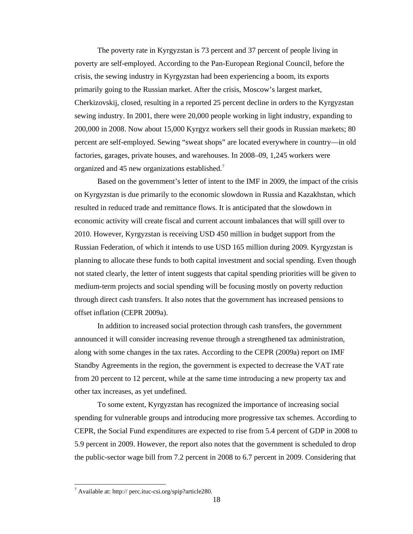The poverty rate in Kyrgyzstan is 73 percent and 37 percent of people living in poverty are self-employed. According to the Pan-European Regional Council, before the crisis, the sewing industry in Kyrgyzstan had been experiencing a boom, its exports primarily going to the Russian market. After the crisis, Moscow's largest market, Cherkizovskij, closed, resulting in a reported 25 percent decline in orders to the Kyrgyzstan sewing industry. In 2001, there were 20,000 people working in light industry, expanding to 200,000 in 2008. Now about 15,000 Kyrgyz workers sell their goods in Russian markets; 80 percent are self-employed. Sewing "sweat shops" are located everywhere in country—in old factories, garages, private houses, and warehouses. In 2008–09, 1,245 workers were organized and 45 new organizations established.<sup>7</sup>

Based on the government's letter of intent to the IMF in 2009, the impact of the crisis on Kyrgyzstan is due primarily to the economic slowdown in Russia and Kazakhstan, which resulted in reduced trade and remittance flows. It is anticipated that the slowdown in economic activity will create fiscal and current account imbalances that will spill over to 2010. However, Kyrgyzstan is receiving USD 450 million in budget support from the Russian Federation, of which it intends to use USD 165 million during 2009. Kyrgyzstan is planning to allocate these funds to both capital investment and social spending. Even though not stated clearly, the letter of intent suggests that capital spending priorities will be given to medium-term projects and social spending will be focusing mostly on poverty reduction through direct cash transfers. It also notes that the government has increased pensions to offset inflation (CEPR 2009a).

In addition to increased social protection through cash transfers, the government announced it will consider increasing revenue through a strengthened tax administration, along with some changes in the tax rates. According to the CEPR (2009a) report on IMF Standby Agreements in the region, the government is expected to decrease the VAT rate from 20 percent to 12 percent, while at the same time introducing a new property tax and other tax increases, as yet undefined.

To some extent, Kyrgyzstan has recognized the importance of increasing social spending for vulnerable groups and introducing more progressive tax schemes. According to CEPR, the Social Fund expenditures are expected to rise from 5.4 percent of GDP in 2008 to 5.9 percent in 2009. However, the report also notes that the government is scheduled to drop the public-sector wage bill from 7.2 percent in 2008 to 6.7 percent in 2009. Considering that

 $^7$  Available at: http:// perc.ituc-csi.org/spip?article280.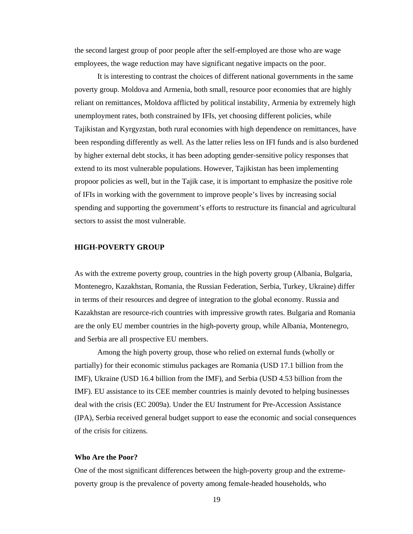the second largest group of poor people after the self-employed are those who are wage employees, the wage reduction may have significant negative impacts on the poor.

It is interesting to contrast the choices of different national governments in the same poverty group. Moldova and Armenia, both small, resource poor economies that are highly reliant on remittances, Moldova afflicted by political instability, Armenia by extremely high unemployment rates, both constrained by IFIs, yet choosing different policies, while Tajikistan and Kyrgyzstan, both rural economies with high dependence on remittances, have been responding differently as well. As the latter relies less on IFI funds and is also burdened by higher external debt stocks, it has been adopting gender-sensitive policy responses that extend to its most vulnerable populations. However, Tajikistan has been implementing propoor policies as well, but in the Tajik case, it is important to emphasize the positive role of IFIs in working with the government to improve people's lives by increasing social spending and supporting the government's efforts to restructure its financial and agricultural sectors to assist the most vulnerable.

### **HIGH-POVERTY GROUP**

As with the extreme poverty group, countries in the high poverty group (Albania, Bulgaria, Montenegro, Kazakhstan, Romania, the Russian Federation, Serbia, Turkey, Ukraine) differ in terms of their resources and degree of integration to the global economy. Russia and Kazakhstan are resource-rich countries with impressive growth rates. Bulgaria and Romania are the only EU member countries in the high-poverty group, while Albania, Montenegro, and Serbia are all prospective EU members.

Among the high poverty group, those who relied on external funds (wholly or partially) for their economic stimulus packages are Romania (USD 17.1 billion from the IMF), Ukraine (USD 16.4 billion from the IMF), and Serbia (USD 4.53 billion from the IMF). EU assistance to its CEE member countries is mainly devoted to helping businesses deal with the crisis (EC 2009a). Under the EU Instrument for Pre-Accession Assistance (IPA), Serbia received general budget support to ease the economic and social consequences of the crisis for citizens.

#### **Who Are the Poor?**

One of the most significant differences between the high-poverty group and the extremepoverty group is the prevalence of poverty among female-headed households, who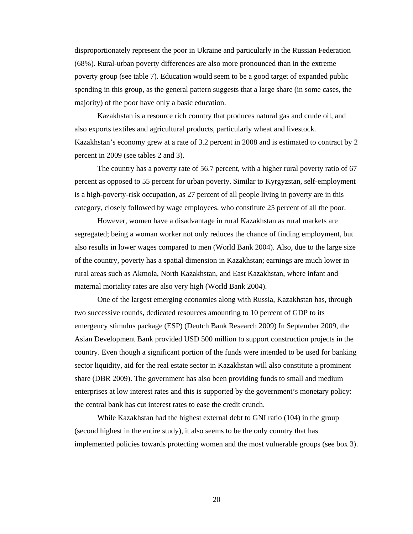disproportionately represent the poor in Ukraine and particularly in the Russian Federation (68%). Rural-urban poverty differences are also more pronounced than in the extreme poverty group (see table 7). Education would seem to be a good target of expanded public spending in this group, as the general pattern suggests that a large share (in some cases, the majority) of the poor have only a basic education.

Kazakhstan is a resource rich country that produces natural gas and crude oil, and also exports textiles and agricultural products, particularly wheat and livestock. Kazakhstan's economy grew at a rate of 3.2 percent in 2008 and is estimated to contract by 2 percent in 2009 (see tables 2 and 3).

The country has a poverty rate of 56.7 percent, with a higher rural poverty ratio of 67 percent as opposed to 55 percent for urban poverty. Similar to Kyrgyzstan, self-employment is a high-poverty-risk occupation, as 27 percent of all people living in poverty are in this category, closely followed by wage employees, who constitute 25 percent of all the poor.

However, women have a disadvantage in rural Kazakhstan as rural markets are segregated; being a woman worker not only reduces the chance of finding employment, but also results in lower wages compared to men (World Bank 2004). Also, due to the large size of the country, poverty has a spatial dimension in Kazakhstan; earnings are much lower in rural areas such as Akmola, North Kazakhstan, and East Kazakhstan, where infant and maternal mortality rates are also very high (World Bank 2004).

One of the largest emerging economies along with Russia, Kazakhstan has, through two successive rounds, dedicated resources amounting to 10 percent of GDP to its emergency stimulus package (ESP) (Deutch Bank Research 2009) In September 2009, the Asian Development Bank provided USD 500 million to support construction projects in the country. Even though a significant portion of the funds were intended to be used for banking sector liquidity, aid for the real estate sector in Kazakhstan will also constitute a prominent share (DBR 2009). The government has also been providing funds to small and medium enterprises at low interest rates and this is supported by the government's monetary policy: the central bank has cut interest rates to ease the credit crunch.

While Kazakhstan had the highest external debt to GNI ratio (104) in the group (second highest in the entire study), it also seems to be the only country that has implemented policies towards protecting women and the most vulnerable groups (see box 3).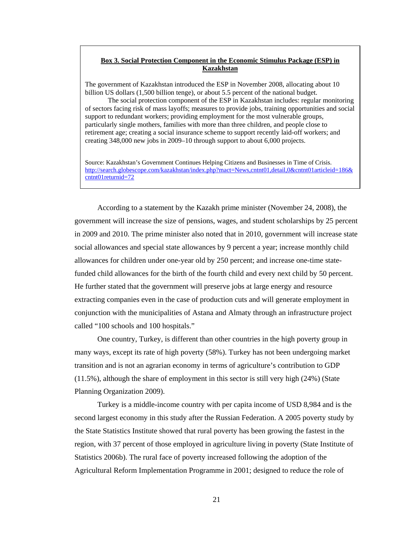## **Box 3. Social Protection Component in the Economic Stimulus Package (ESP) in Kazakhstan**

The government of Kazakhstan introduced the ESP in November 2008, allocating about 10 billion US dollars (1,500 billion tenge), or about 5.5 percent of the national budget.

The social protection component of the ESP in Kazakhstan includes: regular monitoring of sectors facing risk of mass layoffs; measures to provide jobs, training opportunities and social support to redundant workers; providing employment for the most vulnerable groups, particularly single mothers, families with more than three children, and people close to retirement age; creating a social insurance scheme to support recently laid-off workers; and creating 348,000 new jobs in 2009–10 through support to about 6,000 projects.

Source: Kazakhstan's Government Continues Helping Citizens and Businesses in Time of Crisis. http://search.globescope.com/kazakhstan/index.php?mact=News,cntnt01,detail,0&cntnt01articleid=186& cntnt01returnid=72

According to a statement by the Kazakh prime minister (November 24, 2008), the government will increase the size of pensions, wages, and student scholarships by 25 percent in 2009 and 2010. The prime minister also noted that in 2010, government will increase state social allowances and special state allowances by 9 percent a year; increase monthly child allowances for children under one-year old by 250 percent; and increase one-time statefunded child allowances for the birth of the fourth child and every next child by 50 percent. He further stated that the government will preserve jobs at large energy and resource extracting companies even in the case of production cuts and will generate employment in conjunction with the municipalities of Astana and Almaty through an infrastructure project called "100 schools and 100 hospitals."

One country, Turkey, is different than other countries in the high poverty group in many ways, except its rate of high poverty (58%). Turkey has not been undergoing market transition and is not an agrarian economy in terms of agriculture's contribution to GDP (11.5%), although the share of employment in this sector is still very high (24%) (State Planning Organization 2009).

Turkey is a middle-income country with per capita income of USD 8,984 and is the second largest economy in this study after the Russian Federation. A 2005 poverty study by the State Statistics Institute showed that rural poverty has been growing the fastest in the region, with 37 percent of those employed in agriculture living in poverty (State Institute of Statistics 2006b). The rural face of poverty increased following the adoption of the Agricultural Reform Implementation Programme in 2001; designed to reduce the role of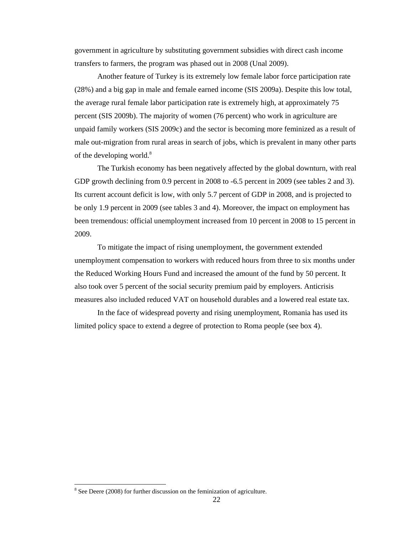government in agriculture by substituting government subsidies with direct cash income transfers to farmers, the program was phased out in 2008 (Unal 2009).

Another feature of Turkey is its extremely low female labor force participation rate (28%) and a big gap in male and female earned income (SIS 2009a). Despite this low total, the average rural female labor participation rate is extremely high, at approximately 75 percent (SIS 2009b). The majority of women (76 percent) who work in agriculture are unpaid family workers (SIS 2009c) and the sector is becoming more feminized as a result of male out-migration from rural areas in search of jobs, which is prevalent in many other parts of the developing world. $8$ 

The Turkish economy has been negatively affected by the global downturn, with real GDP growth declining from 0.9 percent in 2008 to -6.5 percent in 2009 (see tables 2 and 3). Its current account deficit is low, with only 5.7 percent of GDP in 2008, and is projected to be only 1.9 percent in 2009 (see tables 3 and 4). Moreover, the impact on employment has been tremendous: official unemployment increased from 10 percent in 2008 to 15 percent in 2009.

To mitigate the impact of rising unemployment, the government extended unemployment compensation to workers with reduced hours from three to six months under the Reduced Working Hours Fund and increased the amount of the fund by 50 percent. It also took over 5 percent of the social security premium paid by employers. Anticrisis measures also included reduced VAT on household durables and a lowered real estate tax.

In the face of widespread poverty and rising unemployment, Romania has used its limited policy space to extend a degree of protection to Roma people (see box 4).

 $8$  See Deere (2008) for further discussion on the feminization of agriculture.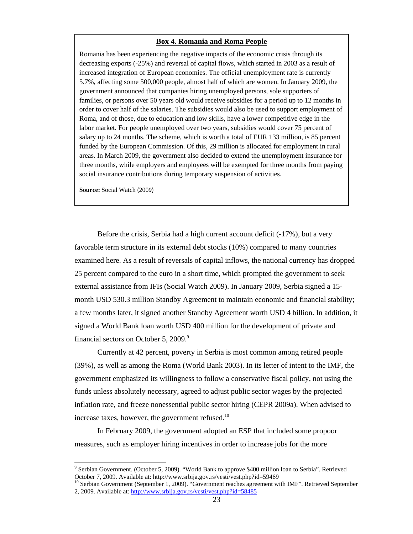#### **Box 4. Romania and Roma People**

Romania has been experiencing the negative impacts of the economic crisis through its decreasing exports (-25%) and reversal of capital flows, which started in 2003 as a result of increased integration of European economies. The official unemployment rate is currently 5.7%, affecting some 500,000 people, almost half of which are women. In January 2009, the government announced that companies hiring unemployed persons, sole supporters of families, or persons over 50 years old would receive subsidies for a period up to 12 months in order to cover half of the salaries. The subsidies would also be used to support employment of Roma, and of those, due to education and low skills, have a lower competitive edge in the labor market. For people unemployed over two years, subsidies would cover 75 percent of salary up to 24 months. The scheme, which is worth a total of EUR 133 million, is 85 percent funded by the European Commission. Of this, 29 million is allocated for employment in rural areas. In March 2009, the government also decided to extend the unemployment insurance for three months, while employers and employees will be exempted for three months from paying social insurance contributions during temporary suspension of activities.

**Source:** Social Watch (2009)

Before the crisis, Serbia had a high current account deficit (-17%), but a very favorable term structure in its external debt stocks (10%) compared to many countries examined here. As a result of reversals of capital inflows, the national currency has dropped 25 percent compared to the euro in a short time, which prompted the government to seek external assistance from IFIs (Social Watch 2009). In January 2009, Serbia signed a 15 month USD 530.3 million Standby Agreement to maintain economic and financial stability; a few months later, it signed another Standby Agreement worth USD 4 billion. In addition, it signed a World Bank loan worth USD 400 million for the development of private and financial sectors on October 5, 2009. $9$ 

Currently at 42 percent, poverty in Serbia is most common among retired people (39%), as well as among the Roma (World Bank 2003). In its letter of intent to the IMF, the government emphasized its willingness to follow a conservative fiscal policy, not using the funds unless absolutely necessary, agreed to adjust public sector wages by the projected inflation rate, and freeze nonessential public sector hiring (CEPR 2009a). When advised to increase taxes, however, the government refused. $^{10}$ 

In February 2009, the government adopted an ESP that included some propoor measures, such as employer hiring incentives in order to increase jobs for the more

<sup>&</sup>lt;sup>9</sup> Serbian Government. (October 5, 2009). "World Bank to approve \$400 million loan to Serbia". Retrieved October 7, 2009. Available at: http://www.srbija.gov.rs/vesti/vest.php?id=59469

<sup>&</sup>lt;sup>10</sup> Serbian Government (September 1, 2009). "Government reaches agreement with IMF". Retrieved September 2, 2009. Available at: http://www.srbija.gov.rs/vesti/vest.php?id=58485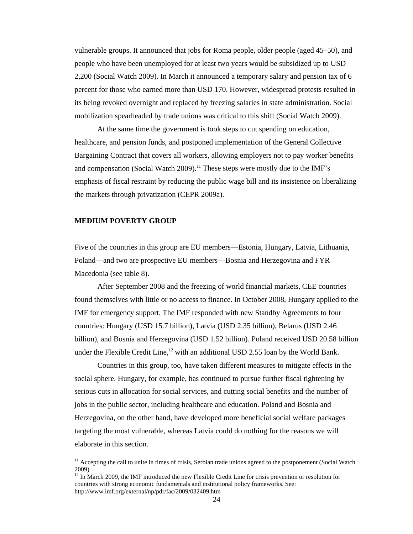vulnerable groups. It announced that jobs for Roma people, older people (aged 45–50), and people who have been unemployed for at least two years would be subsidized up to USD 2,200 (Social Watch 2009). In March it announced a temporary salary and pension tax of 6 percent for those who earned more than USD 170. However, widespread protests resulted in its being revoked overnight and replaced by freezing salaries in state administration. Social mobilization spearheaded by trade unions was critical to this shift (Social Watch 2009).

At the same time the government is took steps to cut spending on education, healthcare, and pension funds, and postponed implementation of the General Collective Bargaining Contract that covers all workers, allowing employers not to pay worker benefits and compensation (Social Watch 2009).<sup>11</sup> These steps were mostly due to the IMF's emphasis of fiscal restraint by reducing the public wage bill and its insistence on liberalizing the markets through privatization (CEPR 2009a).

### **MEDIUM POVERTY GROUP**

Five of the countries in this group are EU members—Estonia, Hungary, Latvia, Lithuania, Poland—and two are prospective EU members—Bosnia and Herzegovina and FYR Macedonia (see table 8).

After September 2008 and the freezing of world financial markets, CEE countries found themselves with little or no access to finance. In October 2008, Hungary applied to the IMF for emergency support. The IMF responded with new Standby Agreements to four countries: Hungary (USD 15.7 billion), Latvia (USD 2.35 billion), Belarus (USD 2.46 billion), and Bosnia and Herzegovina (USD 1.52 billion). Poland received USD 20.58 billion under the Flexible Credit Line,<sup>12</sup> with an additional USD 2.55 loan by the World Bank.

Countries in this group, too, have taken different measures to mitigate effects in the social sphere. Hungary, for example, has continued to pursue further fiscal tightening by serious cuts in allocation for social services, and cutting social benefits and the number of jobs in the public sector, including healthcare and education. Poland and Bosnia and Herzegovina, on the other hand, have developed more beneficial social welfare packages targeting the most vulnerable, whereas Latvia could do nothing for the reasons we will elaborate in this section.

<sup>&</sup>lt;sup>11</sup> Accepting the call to unite in times of crisis, Serbian trade unions agreed to the postponement (Social Watch 2009).

 $12$  In March 2009, the IMF introduced the new Flexible Credit Line for crisis prevention or resolution for countries with strong economic fundamentals and institutional policy frameworks. See: http://www.imf.org/external/np/pdr/fac/2009/032409.htm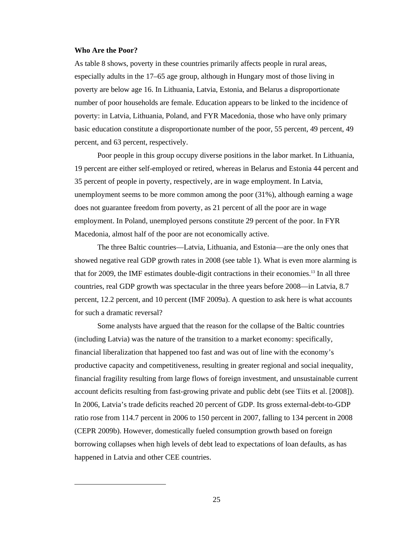#### **Who Are the Poor?**

As table 8 shows, poverty in these countries primarily affects people in rural areas, especially adults in the 17–65 age group, although in Hungary most of those living in poverty are below age 16. In Lithuania, Latvia, Estonia, and Belarus a disproportionate number of poor households are female. Education appears to be linked to the incidence of poverty: in Latvia, Lithuania, Poland, and FYR Macedonia, those who have only primary basic education constitute a disproportionate number of the poor, 55 percent, 49 percent, 49 percent, and 63 percent, respectively.

Poor people in this group occupy diverse positions in the labor market. In Lithuania, 19 percent are either self-employed or retired, whereas in Belarus and Estonia 44 percent and 35 percent of people in poverty, respectively, are in wage employment. In Latvia, unemployment seems to be more common among the poor (31%), although earning a wage does not guarantee freedom from poverty, as 21 percent of all the poor are in wage employment. In Poland, unemployed persons constitute 29 percent of the poor. In FYR Macedonia, almost half of the poor are not economically active.

The three Baltic countries—Latvia, Lithuania, and Estonia—are the only ones that showed negative real GDP growth rates in 2008 (see table 1). What is even more alarming is that for 2009, the IMF estimates double-digit contractions in their economies.13 In all three countries, real GDP growth was spectacular in the three years before 2008—in Latvia, 8.7 percent, 12.2 percent, and 10 percent (IMF 2009a). A question to ask here is what accounts for such a dramatic reversal?

Some analysts have argued that the reason for the collapse of the Baltic countries (including Latvia) was the nature of the transition to a market economy: specifically, financial liberalization that happened too fast and was out of line with the economy's productive capacity and competitiveness, resulting in greater regional and social inequality, financial fragility resulting from large flows of foreign investment, and unsustainable current account deficits resulting from fast-growing private and public debt (see Tiits et al. [2008]). In 2006, Latvia's trade deficits reached 20 percent of GDP. Its gross external-debt-to-GDP ratio rose from 114.7 percent in 2006 to 150 percent in 2007, falling to 134 percent in 2008 (CEPR 2009b). However, domestically fueled consumption growth based on foreign borrowing collapses when high levels of debt lead to expectations of loan defaults, as has happened in Latvia and other CEE countries.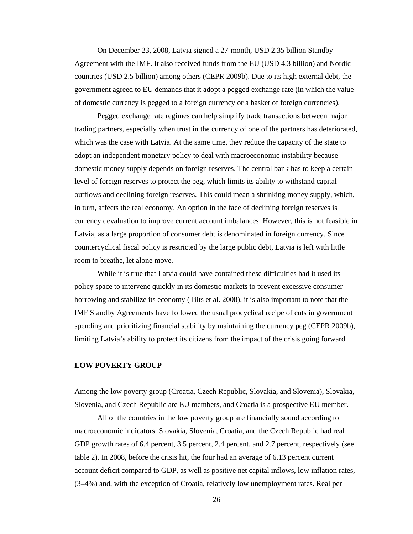On December 23, 2008, Latvia signed a 27-month, USD 2.35 billion Standby Agreement with the IMF. It also received funds from the EU (USD 4.3 billion) and Nordic countries (USD 2.5 billion) among others (CEPR 2009b). Due to its high external debt, the government agreed to EU demands that it adopt a pegged exchange rate (in which the value of domestic currency is pegged to a foreign currency or a basket of foreign currencies).

Pegged exchange rate regimes can help simplify trade transactions between major trading partners, especially when trust in the currency of one of the partners has deteriorated, which was the case with Latvia. At the same time, they reduce the capacity of the state to adopt an independent monetary policy to deal with macroeconomic instability because domestic money supply depends on foreign reserves. The central bank has to keep a certain level of foreign reserves to protect the peg, which limits its ability to withstand capital outflows and declining foreign reserves. This could mean a shrinking money supply, which, in turn, affects the real economy. An option in the face of declining foreign reserves is currency devaluation to improve current account imbalances. However, this is not feasible in Latvia, as a large proportion of consumer debt is denominated in foreign currency. Since countercyclical fiscal policy is restricted by the large public debt, Latvia is left with little room to breathe, let alone move.

While it is true that Latvia could have contained these difficulties had it used its policy space to intervene quickly in its domestic markets to prevent excessive consumer borrowing and stabilize its economy (Tiits et al. 2008), it is also important to note that the IMF Standby Agreements have followed the usual procyclical recipe of cuts in government spending and prioritizing financial stability by maintaining the currency peg (CEPR 2009b), limiting Latvia's ability to protect its citizens from the impact of the crisis going forward.

### **LOW POVERTY GROUP**

Among the low poverty group (Croatia, Czech Republic, Slovakia, and Slovenia), Slovakia, Slovenia, and Czech Republic are EU members, and Croatia is a prospective EU member.

All of the countries in the low poverty group are financially sound according to macroeconomic indicators. Slovakia, Slovenia, Croatia, and the Czech Republic had real GDP growth rates of 6.4 percent, 3.5 percent, 2.4 percent, and 2.7 percent, respectively (see table 2). In 2008, before the crisis hit, the four had an average of 6.13 percent current account deficit compared to GDP, as well as positive net capital inflows, low inflation rates, (3–4%) and, with the exception of Croatia, relatively low unemployment rates. Real per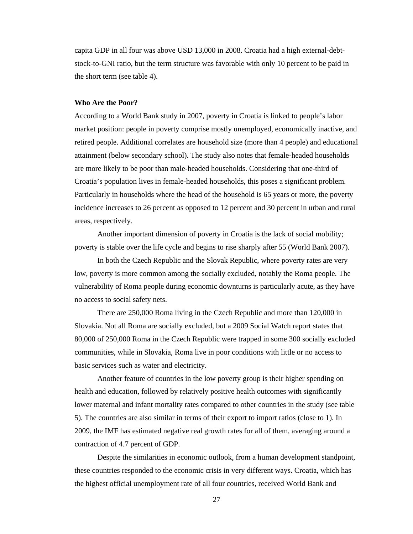capita GDP in all four was above USD 13,000 in 2008. Croatia had a high external-debtstock-to-GNI ratio, but the term structure was favorable with only 10 percent to be paid in the short term (see table 4).

#### **Who Are the Poor?**

According to a World Bank study in 2007, poverty in Croatia is linked to people's labor market position: people in poverty comprise mostly unemployed, economically inactive, and retired people. Additional correlates are household size (more than 4 people) and educational attainment (below secondary school). The study also notes that female-headed households are more likely to be poor than male-headed households. Considering that one-third of Croatia's population lives in female-headed households, this poses a significant problem. Particularly in households where the head of the household is 65 years or more, the poverty incidence increases to 26 percent as opposed to 12 percent and 30 percent in urban and rural areas, respectively.

Another important dimension of poverty in Croatia is the lack of social mobility; poverty is stable over the life cycle and begins to rise sharply after 55 (World Bank 2007).

In both the Czech Republic and the Slovak Republic, where poverty rates are very low, poverty is more common among the socially excluded, notably the Roma people. The vulnerability of Roma people during economic downturns is particularly acute, as they have no access to social safety nets.

There are 250,000 Roma living in the Czech Republic and more than 120,000 in Slovakia. Not all Roma are socially excluded, but a 2009 Social Watch report states that 80,000 of 250,000 Roma in the Czech Republic were trapped in some 300 socially excluded communities, while in Slovakia, Roma live in poor conditions with little or no access to basic services such as water and electricity.

Another feature of countries in the low poverty group is their higher spending on health and education, followed by relatively positive health outcomes with significantly lower maternal and infant mortality rates compared to other countries in the study (see table 5). The countries are also similar in terms of their export to import ratios (close to 1). In 2009, the IMF has estimated negative real growth rates for all of them, averaging around a contraction of 4.7 percent of GDP.

Despite the similarities in economic outlook, from a human development standpoint, these countries responded to the economic crisis in very different ways. Croatia, which has the highest official unemployment rate of all four countries, received World Bank and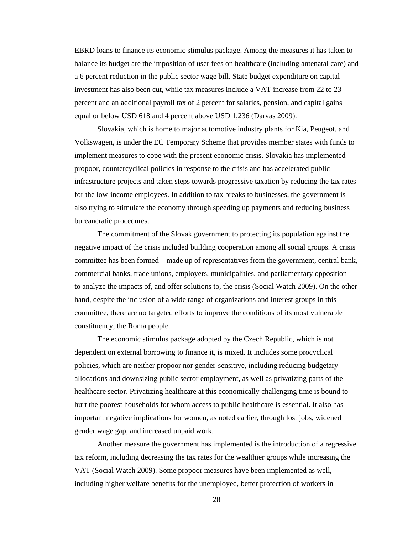EBRD loans to finance its economic stimulus package. Among the measures it has taken to balance its budget are the imposition of user fees on healthcare (including antenatal care) and a 6 percent reduction in the public sector wage bill. State budget expenditure on capital investment has also been cut, while tax measures include a VAT increase from 22 to 23 percent and an additional payroll tax of 2 percent for salaries, pension, and capital gains equal or below USD 618 and 4 percent above USD 1,236 (Darvas 2009).

Slovakia, which is home to major automotive industry plants for Kia, Peugeot, and Volkswagen, is under the EC Temporary Scheme that provides member states with funds to implement measures to cope with the present economic crisis. Slovakia has implemented propoor, countercyclical policies in response to the crisis and has accelerated public infrastructure projects and taken steps towards progressive taxation by reducing the tax rates for the low-income employees. In addition to tax breaks to businesses, the government is also trying to stimulate the economy through speeding up payments and reducing business bureaucratic procedures.

The commitment of the Slovak government to protecting its population against the negative impact of the crisis included building cooperation among all social groups. A crisis committee has been formed—made up of representatives from the government, central bank, commercial banks, trade unions, employers, municipalities, and parliamentary opposition to analyze the impacts of, and offer solutions to, the crisis (Social Watch 2009). On the other hand, despite the inclusion of a wide range of organizations and interest groups in this committee, there are no targeted efforts to improve the conditions of its most vulnerable constituency, the Roma people.

The economic stimulus package adopted by the Czech Republic, which is not dependent on external borrowing to finance it, is mixed. It includes some procyclical policies, which are neither propoor nor gender-sensitive, including reducing budgetary allocations and downsizing public sector employment, as well as privatizing parts of the healthcare sector. Privatizing healthcare at this economically challenging time is bound to hurt the poorest households for whom access to public healthcare is essential. It also has important negative implications for women, as noted earlier, through lost jobs, widened gender wage gap, and increased unpaid work.

Another measure the government has implemented is the introduction of a regressive tax reform, including decreasing the tax rates for the wealthier groups while increasing the VAT (Social Watch 2009). Some propoor measures have been implemented as well, including higher welfare benefits for the unemployed, better protection of workers in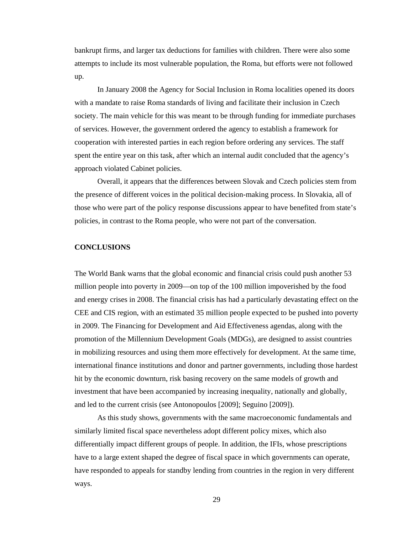bankrupt firms, and larger tax deductions for families with children. There were also some attempts to include its most vulnerable population, the Roma, but efforts were not followed up.

In January 2008 the Agency for Social Inclusion in Roma localities opened its doors with a mandate to raise Roma standards of living and facilitate their inclusion in Czech society. The main vehicle for this was meant to be through funding for immediate purchases of services. However, the government ordered the agency to establish a framework for cooperation with interested parties in each region before ordering any services. The staff spent the entire year on this task, after which an internal audit concluded that the agency's approach violated Cabinet policies.

Overall, it appears that the differences between Slovak and Czech policies stem from the presence of different voices in the political decision-making process. In Slovakia, all of those who were part of the policy response discussions appear to have benefited from state's policies, in contrast to the Roma people, who were not part of the conversation.

### **CONCLUSIONS**

The World Bank warns that the global economic and financial crisis could push another 53 million people into poverty in 2009—on top of the 100 million impoverished by the food and energy crises in 2008. The financial crisis has had a particularly devastating effect on the CEE and CIS region, with an estimated 35 million people expected to be pushed into poverty in 2009. The Financing for Development and Aid Effectiveness agendas, along with the promotion of the Millennium Development Goals (MDGs), are designed to assist countries in mobilizing resources and using them more effectively for development. At the same time, international finance institutions and donor and partner governments, including those hardest hit by the economic downturn, risk basing recovery on the same models of growth and investment that have been accompanied by increasing inequality, nationally and globally, and led to the current crisis (see Antonopoulos [2009]; Seguino [2009]).

As this study shows, governments with the same macroeconomic fundamentals and similarly limited fiscal space nevertheless adopt different policy mixes, which also differentially impact different groups of people. In addition, the IFIs, whose prescriptions have to a large extent shaped the degree of fiscal space in which governments can operate, have responded to appeals for standby lending from countries in the region in very different ways.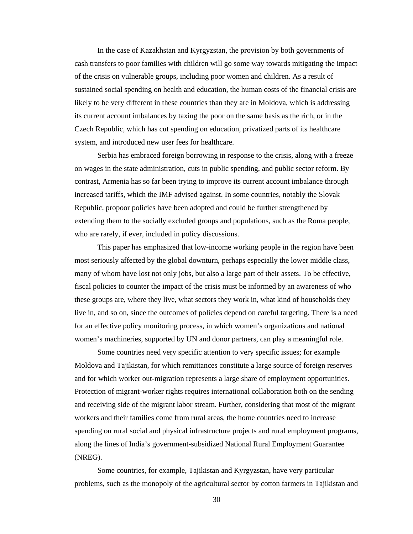In the case of Kazakhstan and Kyrgyzstan, the provision by both governments of cash transfers to poor families with children will go some way towards mitigating the impact of the crisis on vulnerable groups, including poor women and children. As a result of sustained social spending on health and education, the human costs of the financial crisis are likely to be very different in these countries than they are in Moldova, which is addressing its current account imbalances by taxing the poor on the same basis as the rich, or in the Czech Republic, which has cut spending on education, privatized parts of its healthcare system, and introduced new user fees for healthcare.

Serbia has embraced foreign borrowing in response to the crisis, along with a freeze on wages in the state administration, cuts in public spending, and public sector reform. By contrast, Armenia has so far been trying to improve its current account imbalance through increased tariffs, which the IMF advised against. In some countries, notably the Slovak Republic, propoor policies have been adopted and could be further strengthened by extending them to the socially excluded groups and populations, such as the Roma people, who are rarely, if ever, included in policy discussions.

This paper has emphasized that low-income working people in the region have been most seriously affected by the global downturn, perhaps especially the lower middle class, many of whom have lost not only jobs, but also a large part of their assets. To be effective, fiscal policies to counter the impact of the crisis must be informed by an awareness of who these groups are, where they live, what sectors they work in, what kind of households they live in, and so on, since the outcomes of policies depend on careful targeting. There is a need for an effective policy monitoring process, in which women's organizations and national women's machineries, supported by UN and donor partners, can play a meaningful role.

Some countries need very specific attention to very specific issues; for example Moldova and Tajikistan, for which remittances constitute a large source of foreign reserves and for which worker out-migration represents a large share of employment opportunities. Protection of migrant-worker rights requires international collaboration both on the sending and receiving side of the migrant labor stream. Further, considering that most of the migrant workers and their families come from rural areas, the home countries need to increase spending on rural social and physical infrastructure projects and rural employment programs, along the lines of India's government-subsidized National Rural Employment Guarantee (NREG).

Some countries, for example, Tajikistan and Kyrgyzstan, have very particular problems, such as the monopoly of the agricultural sector by cotton farmers in Tajikistan and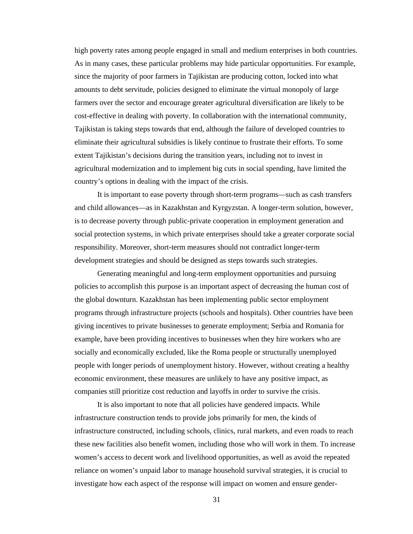high poverty rates among people engaged in small and medium enterprises in both countries. As in many cases, these particular problems may hide particular opportunities. For example, since the majority of poor farmers in Tajikistan are producing cotton, locked into what amounts to debt servitude, policies designed to eliminate the virtual monopoly of large farmers over the sector and encourage greater agricultural diversification are likely to be cost-effective in dealing with poverty. In collaboration with the international community, Tajikistan is taking steps towards that end, although the failure of developed countries to eliminate their agricultural subsidies is likely continue to frustrate their efforts. To some extent Tajikistan's decisions during the transition years, including not to invest in agricultural modernization and to implement big cuts in social spending, have limited the country's options in dealing with the impact of the crisis.

It is important to ease poverty through short-term programs—such as cash transfers and child allowances—as in Kazakhstan and Kyrgyzstan. A longer-term solution, however, is to decrease poverty through public-private cooperation in employment generation and social protection systems, in which private enterprises should take a greater corporate social responsibility. Moreover, short-term measures should not contradict longer-term development strategies and should be designed as steps towards such strategies.

Generating meaningful and long-term employment opportunities and pursuing policies to accomplish this purpose is an important aspect of decreasing the human cost of the global downturn. Kazakhstan has been implementing public sector employment programs through infrastructure projects (schools and hospitals). Other countries have been giving incentives to private businesses to generate employment; Serbia and Romania for example, have been providing incentives to businesses when they hire workers who are socially and economically excluded, like the Roma people or structurally unemployed people with longer periods of unemployment history. However, without creating a healthy economic environment, these measures are unlikely to have any positive impact, as companies still prioritize cost reduction and layoffs in order to survive the crisis.

It is also important to note that all policies have gendered impacts. While infrastructure construction tends to provide jobs primarily for men, the kinds of infrastructure constructed, including schools, clinics, rural markets, and even roads to reach these new facilities also benefit women, including those who will work in them. To increase women's access to decent work and livelihood opportunities, as well as avoid the repeated reliance on women's unpaid labor to manage household survival strategies, it is crucial to investigate how each aspect of the response will impact on women and ensure gender-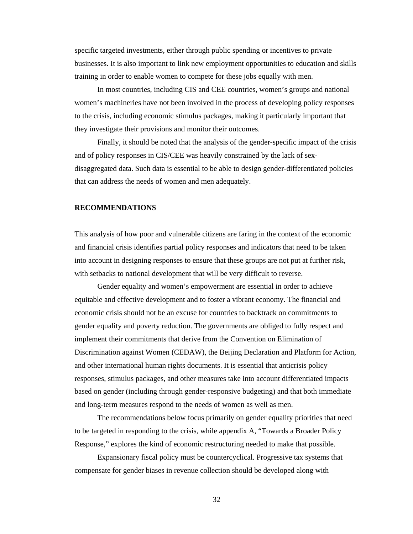specific targeted investments, either through public spending or incentives to private businesses. It is also important to link new employment opportunities to education and skills training in order to enable women to compete for these jobs equally with men.

In most countries, including CIS and CEE countries, women's groups and national women's machineries have not been involved in the process of developing policy responses to the crisis, including economic stimulus packages, making it particularly important that they investigate their provisions and monitor their outcomes.

Finally, it should be noted that the analysis of the gender-specific impact of the crisis and of policy responses in CIS/CEE was heavily constrained by the lack of sexdisaggregated data. Such data is essential to be able to design gender-differentiated policies that can address the needs of women and men adequately.

# **RECOMMENDATIONS**

This analysis of how poor and vulnerable citizens are faring in the context of the economic and financial crisis identifies partial policy responses and indicators that need to be taken into account in designing responses to ensure that these groups are not put at further risk, with setbacks to national development that will be very difficult to reverse.

Gender equality and women's empowerment are essential in order to achieve equitable and effective development and to foster a vibrant economy. The financial and economic crisis should not be an excuse for countries to backtrack on commitments to gender equality and poverty reduction. The governments are obliged to fully respect and implement their commitments that derive from the Convention on Elimination of Discrimination against Women (CEDAW), the Beijing Declaration and Platform for Action, and other international human rights documents. It is essential that anticrisis policy responses, stimulus packages, and other measures take into account differentiated impacts based on gender (including through gender-responsive budgeting) and that both immediate and long-term measures respond to the needs of women as well as men.

The recommendations below focus primarily on gender equality priorities that need to be targeted in responding to the crisis, while appendix A, "Towards a Broader Policy Response," explores the kind of economic restructuring needed to make that possible.

Expansionary fiscal policy must be countercyclical. Progressive tax systems that compensate for gender biases in revenue collection should be developed along with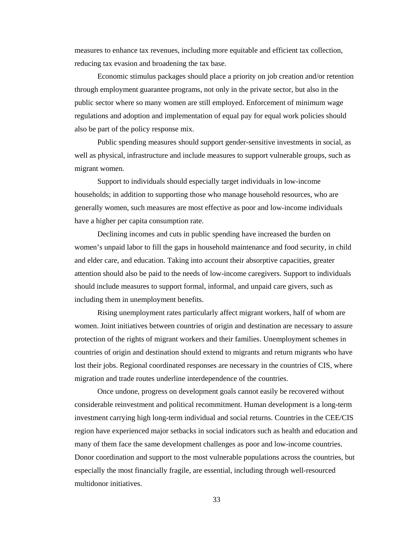measures to enhance tax revenues, including more equitable and efficient tax collection, reducing tax evasion and broadening the tax base.

Economic stimulus packages should place a priority on job creation and/or retention through employment guarantee programs, not only in the private sector, but also in the public sector where so many women are still employed. Enforcement of minimum wage regulations and adoption and implementation of equal pay for equal work policies should also be part of the policy response mix.

Public spending measures should support gender-sensitive investments in social, as well as physical, infrastructure and include measures to support vulnerable groups, such as migrant women.

Support to individuals should especially target individuals in low-income households; in addition to supporting those who manage household resources, who are generally women, such measures are most effective as poor and low-income individuals have a higher per capita consumption rate.

Declining incomes and cuts in public spending have increased the burden on women's unpaid labor to fill the gaps in household maintenance and food security, in child and elder care, and education. Taking into account their absorptive capacities, greater attention should also be paid to the needs of low-income caregivers. Support to individuals should include measures to support formal, informal, and unpaid care givers, such as including them in unemployment benefits.

Rising unemployment rates particularly affect migrant workers, half of whom are women. Joint initiatives between countries of origin and destination are necessary to assure protection of the rights of migrant workers and their families. Unemployment schemes in countries of origin and destination should extend to migrants and return migrants who have lost their jobs. Regional coordinated responses are necessary in the countries of CIS, where migration and trade routes underline interdependence of the countries.

Once undone, progress on development goals cannot easily be recovered without considerable reinvestment and political recommitment. Human development is a long-term investment carrying high long-term individual and social returns. Countries in the CEE/CIS region have experienced major setbacks in social indicators such as health and education and many of them face the same development challenges as poor and low-income countries. Donor coordination and support to the most vulnerable populations across the countries, but especially the most financially fragile, are essential, including through well-resourced multidonor initiatives.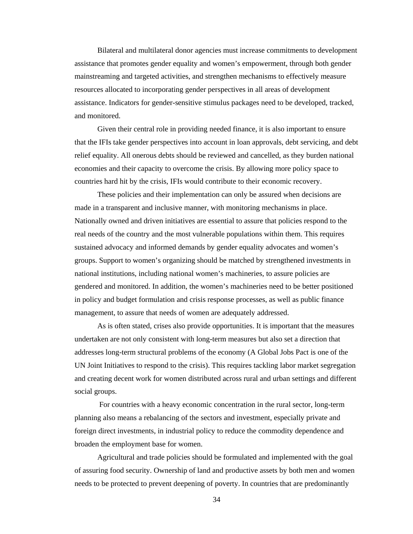Bilateral and multilateral donor agencies must increase commitments to development assistance that promotes gender equality and women's empowerment, through both gender mainstreaming and targeted activities, and strengthen mechanisms to effectively measure resources allocated to incorporating gender perspectives in all areas of development assistance. Indicators for gender-sensitive stimulus packages need to be developed, tracked, and monitored.

Given their central role in providing needed finance, it is also important to ensure that the IFIs take gender perspectives into account in loan approvals, debt servicing, and debt relief equality. All onerous debts should be reviewed and cancelled, as they burden national economies and their capacity to overcome the crisis. By allowing more policy space to countries hard hit by the crisis, IFIs would contribute to their economic recovery.

These policies and their implementation can only be assured when decisions are made in a transparent and inclusive manner, with monitoring mechanisms in place. Nationally owned and driven initiatives are essential to assure that policies respond to the real needs of the country and the most vulnerable populations within them. This requires sustained advocacy and informed demands by gender equality advocates and women's groups. Support to women's organizing should be matched by strengthened investments in national institutions, including national women's machineries, to assure policies are gendered and monitored. In addition, the women's machineries need to be better positioned in policy and budget formulation and crisis response processes, as well as public finance management, to assure that needs of women are adequately addressed.

As is often stated, crises also provide opportunities. It is important that the measures undertaken are not only consistent with long-term measures but also set a direction that addresses long-term structural problems of the economy (A Global Jobs Pact is one of the UN Joint Initiatives to respond to the crisis). This requires tackling labor market segregation and creating decent work for women distributed across rural and urban settings and different social groups.

 For countries with a heavy economic concentration in the rural sector, long-term planning also means a rebalancing of the sectors and investment, especially private and foreign direct investments, in industrial policy to reduce the commodity dependence and broaden the employment base for women.

Agricultural and trade policies should be formulated and implemented with the goal of assuring food security. Ownership of land and productive assets by both men and women needs to be protected to prevent deepening of poverty. In countries that are predominantly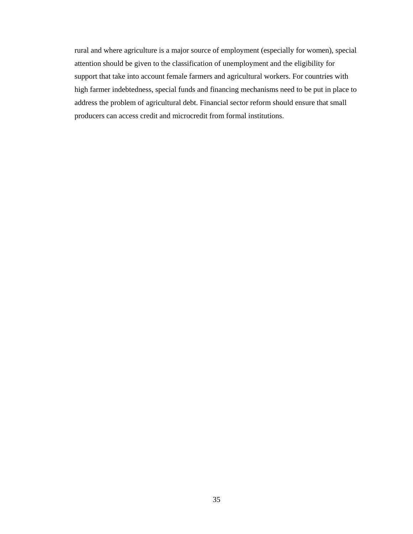rural and where agriculture is a major source of employment (especially for women), special attention should be given to the classification of unemployment and the eligibility for support that take into account female farmers and agricultural workers. For countries with high farmer indebtedness, special funds and financing mechanisms need to be put in place to address the problem of agricultural debt. Financial sector reform should ensure that small producers can access credit and microcredit from formal institutions.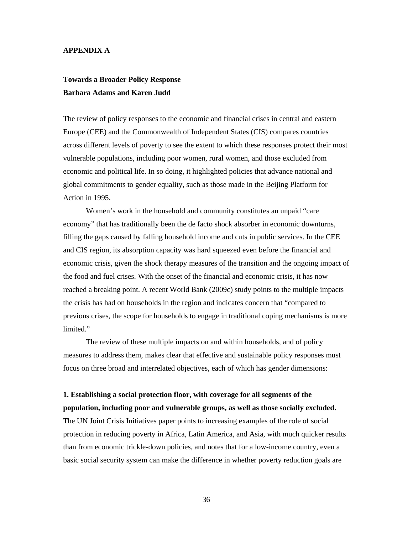## **APPENDIX A**

# **Towards a Broader Policy Response Barbara Adams and Karen Judd**

The review of policy responses to the economic and financial crises in central and eastern Europe (CEE) and the Commonwealth of Independent States (CIS) compares countries across different levels of poverty to see the extent to which these responses protect their most vulnerable populations, including poor women, rural women, and those excluded from economic and political life. In so doing, it highlighted policies that advance national and global commitments to gender equality, such as those made in the Beijing Platform for Action in 1995.

Women's work in the household and community constitutes an unpaid "care economy" that has traditionally been the de facto shock absorber in economic downturns, filling the gaps caused by falling household income and cuts in public services. In the CEE and CIS region, its absorption capacity was hard squeezed even before the financial and economic crisis, given the shock therapy measures of the transition and the ongoing impact of the food and fuel crises. With the onset of the financial and economic crisis, it has now reached a breaking point. A recent World Bank (2009c) study points to the multiple impacts the crisis has had on households in the region and indicates concern that "compared to previous crises, the scope for households to engage in traditional coping mechanisms is more limited."

The review of these multiple impacts on and within households, and of policy measures to address them, makes clear that effective and sustainable policy responses must focus on three broad and interrelated objectives, each of which has gender dimensions:

# **1. Establishing a social protection floor, with coverage for all segments of the population, including poor and vulnerable groups, as well as those socially excluded.**

The UN Joint Crisis Initiatives paper points to increasing examples of the role of social protection in reducing poverty in Africa, Latin America, and Asia, with much quicker results than from economic trickle-down policies, and notes that for a low-income country, even a basic social security system can make the difference in whether poverty reduction goals are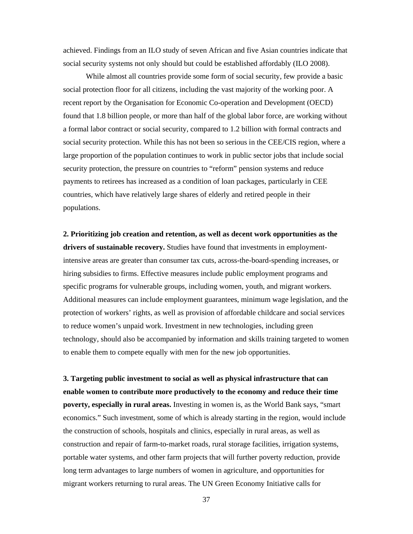achieved. Findings from an ILO study of seven African and five Asian countries indicate that social security systems not only should but could be established affordably (ILO 2008).

While almost all countries provide some form of social security, few provide a basic social protection floor for all citizens, including the vast majority of the working poor. A recent report by the Organisation for Economic Co-operation and Development (OECD) found that 1.8 billion people, or more than half of the global labor force, are working without a formal labor contract or social security, compared to 1.2 billion with formal contracts and social security protection. While this has not been so serious in the CEE/CIS region, where a large proportion of the population continues to work in public sector jobs that include social security protection, the pressure on countries to "reform" pension systems and reduce payments to retirees has increased as a condition of loan packages, particularly in CEE countries, which have relatively large shares of elderly and retired people in their populations.

**2. Prioritizing job creation and retention, as well as decent work opportunities as the drivers of sustainable recovery.** Studies have found that investments in employmentintensive areas are greater than consumer tax cuts, across-the-board-spending increases, or hiring subsidies to firms. Effective measures include public employment programs and specific programs for vulnerable groups, including women, youth, and migrant workers. Additional measures can include employment guarantees, minimum wage legislation, and the protection of workers' rights, as well as provision of affordable childcare and social services to reduce women's unpaid work. Investment in new technologies, including green technology, should also be accompanied by information and skills training targeted to women to enable them to compete equally with men for the new job opportunities.

**3. Targeting public investment to social as well as physical infrastructure that can enable women to contribute more productively to the economy and reduce their time poverty, especially in rural areas.** Investing in women is, as the World Bank says, "smart economics." Such investment, some of which is already starting in the region, would include the construction of schools, hospitals and clinics, especially in rural areas, as well as construction and repair of farm-to-market roads, rural storage facilities, irrigation systems, portable water systems, and other farm projects that will further poverty reduction, provide long term advantages to large numbers of women in agriculture, and opportunities for migrant workers returning to rural areas. The UN Green Economy Initiative calls for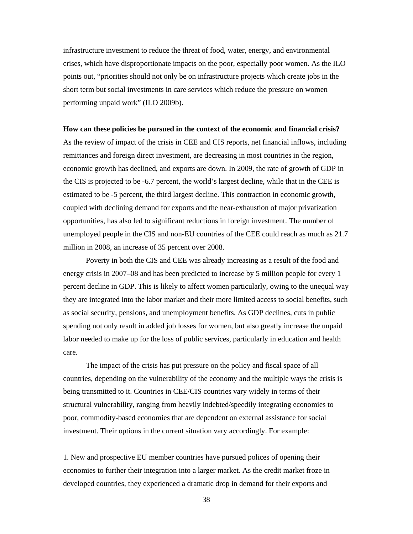infrastructure investment to reduce the threat of food, water, energy, and environmental crises, which have disproportionate impacts on the poor, especially poor women. As the ILO points out, "priorities should not only be on infrastructure projects which create jobs in the short term but social investments in care services which reduce the pressure on women performing unpaid work" (ILO 2009b).

#### **How can these policies be pursued in the context of the economic and financial crisis?**

As the review of impact of the crisis in CEE and CIS reports, net financial inflows, including remittances and foreign direct investment, are decreasing in most countries in the region, economic growth has declined, and exports are down. In 2009, the rate of growth of GDP in the CIS is projected to be -6.7 percent, the world's largest decline, while that in the CEE is estimated to be -5 percent, the third largest decline. This contraction in economic growth, coupled with declining demand for exports and the near-exhaustion of major privatization opportunities, has also led to significant reductions in foreign investment. The number of unemployed people in the CIS and non-EU countries of the CEE could reach as much as 21.7 million in 2008, an increase of 35 percent over 2008.

Poverty in both the CIS and CEE was already increasing as a result of the food and energy crisis in 2007–08 and has been predicted to increase by 5 million people for every 1 percent decline in GDP. This is likely to affect women particularly, owing to the unequal way they are integrated into the labor market and their more limited access to social benefits, such as social security, pensions, and unemployment benefits. As GDP declines, cuts in public spending not only result in added job losses for women, but also greatly increase the unpaid labor needed to make up for the loss of public services, particularly in education and health care.

The impact of the crisis has put pressure on the policy and fiscal space of all countries, depending on the vulnerability of the economy and the multiple ways the crisis is being transmitted to it. Countries in CEE/CIS countries vary widely in terms of their structural vulnerability, ranging from heavily indebted/speedily integrating economies to poor, commodity-based economies that are dependent on external assistance for social investment. Their options in the current situation vary accordingly. For example:

1. New and prospective EU member countries have pursued polices of opening their economies to further their integration into a larger market. As the credit market froze in developed countries, they experienced a dramatic drop in demand for their exports and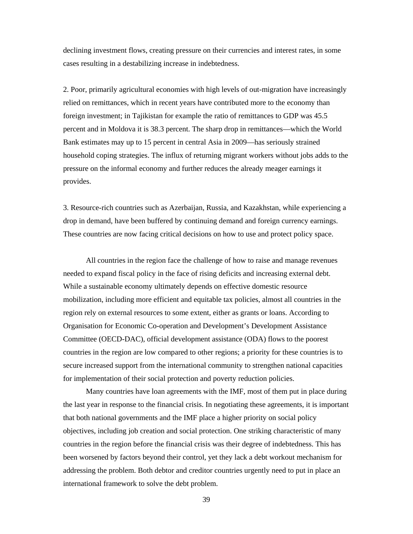declining investment flows, creating pressure on their currencies and interest rates, in some cases resulting in a destabilizing increase in indebtedness.

2. Poor, primarily agricultural economies with high levels of out-migration have increasingly relied on remittances, which in recent years have contributed more to the economy than foreign investment; in Tajikistan for example the ratio of remittances to GDP was 45.5 percent and in Moldova it is 38.3 percent. The sharp drop in remittances—which the World Bank estimates may up to 15 percent in central Asia in 2009—has seriously strained household coping strategies. The influx of returning migrant workers without jobs adds to the pressure on the informal economy and further reduces the already meager earnings it provides.

3. Resource-rich countries such as Azerbaijan, Russia, and Kazakhstan, while experiencing a drop in demand, have been buffered by continuing demand and foreign currency earnings. These countries are now facing critical decisions on how to use and protect policy space.

All countries in the region face the challenge of how to raise and manage revenues needed to expand fiscal policy in the face of rising deficits and increasing external debt. While a sustainable economy ultimately depends on effective domestic resource mobilization, including more efficient and equitable tax policies, almost all countries in the region rely on external resources to some extent, either as grants or loans. According to Organisation for Economic Co-operation and Development's Development Assistance Committee (OECD-DAC), official development assistance (ODA) flows to the poorest countries in the region are low compared to other regions; a priority for these countries is to secure increased support from the international community to strengthen national capacities for implementation of their social protection and poverty reduction policies.

Many countries have loan agreements with the IMF, most of them put in place during the last year in response to the financial crisis. In negotiating these agreements, it is important that both national governments and the IMF place a higher priority on social policy objectives, including job creation and social protection. One striking characteristic of many countries in the region before the financial crisis was their degree of indebtedness. This has been worsened by factors beyond their control, yet they lack a debt workout mechanism for addressing the problem. Both debtor and creditor countries urgently need to put in place an international framework to solve the debt problem.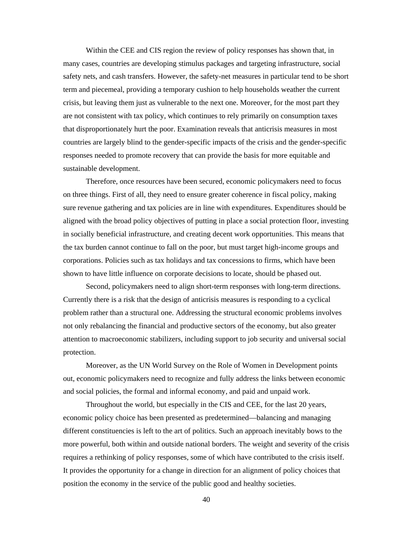Within the CEE and CIS region the review of policy responses has shown that, in many cases, countries are developing stimulus packages and targeting infrastructure, social safety nets, and cash transfers. However, the safety-net measures in particular tend to be short term and piecemeal, providing a temporary cushion to help households weather the current crisis, but leaving them just as vulnerable to the next one. Moreover, for the most part they are not consistent with tax policy, which continues to rely primarily on consumption taxes that disproportionately hurt the poor. Examination reveals that anticrisis measures in most countries are largely blind to the gender-specific impacts of the crisis and the gender-specific responses needed to promote recovery that can provide the basis for more equitable and sustainable development.

Therefore, once resources have been secured, economic policymakers need to focus on three things. First of all, they need to ensure greater coherence in fiscal policy, making sure revenue gathering and tax policies are in line with expenditures. Expenditures should be aligned with the broad policy objectives of putting in place a social protection floor, investing in socially beneficial infrastructure, and creating decent work opportunities. This means that the tax burden cannot continue to fall on the poor, but must target high-income groups and corporations. Policies such as tax holidays and tax concessions to firms, which have been shown to have little influence on corporate decisions to locate, should be phased out.

Second, policymakers need to align short-term responses with long-term directions. Currently there is a risk that the design of anticrisis measures is responding to a cyclical problem rather than a structural one. Addressing the structural economic problems involves not only rebalancing the financial and productive sectors of the economy, but also greater attention to macroeconomic stabilizers, including support to job security and universal social protection.

Moreover, as the UN World Survey on the Role of Women in Development points out, economic policymakers need to recognize and fully address the links between economic and social policies, the formal and informal economy, and paid and unpaid work.

Throughout the world, but especially in the CIS and CEE, for the last 20 years, economic policy choice has been presented as predetermined—balancing and managing different constituencies is left to the art of politics. Such an approach inevitably bows to the more powerful, both within and outside national borders. The weight and severity of the crisis requires a rethinking of policy responses, some of which have contributed to the crisis itself. It provides the opportunity for a change in direction for an alignment of policy choices that position the economy in the service of the public good and healthy societies.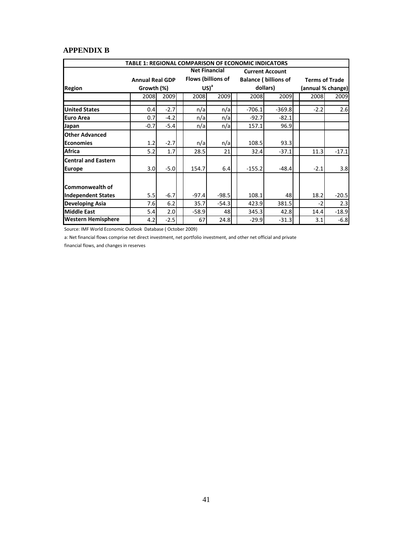# **APPENDIX B**

|                            |                        |        |         |                      | <b>TABLE 1: REGIONAL COMPARISON OF ECONOMIC INDICATORS</b> |                             |        |                       |  |
|----------------------------|------------------------|--------|---------|----------------------|------------------------------------------------------------|-----------------------------|--------|-----------------------|--|
|                            |                        |        |         | <b>Net Financial</b> |                                                            | <b>Current Account</b>      |        |                       |  |
|                            | <b>Annual Real GDP</b> |        |         | Flows (billions of   |                                                            | <b>Balance (billions of</b> |        | <b>Terms of Trade</b> |  |
| <b>Region</b>              | Growth (%)             |        |         | $US)^a$              |                                                            | dollars)                    |        | (annual % change)     |  |
|                            | 2008                   | 2009   | 2008    | 2009                 | 2008                                                       | 2009                        | 2008   | 2009                  |  |
| <b>United States</b>       | 0.4                    | $-2.7$ | n/a     | n/a                  | $-706.1$                                                   | $-369.8$                    | $-2.2$ | 2.6                   |  |
| <b>Euro Area</b>           | 0.7                    | $-4.2$ | n/a     | n/a                  | $-92.7$                                                    | $-82.1$                     |        |                       |  |
| Japan                      | $-0.7$                 | $-5.4$ | n/a     | n/a                  | 157.1                                                      | 96.9                        |        |                       |  |
| <b>Other Advanced</b>      |                        |        |         |                      |                                                            |                             |        |                       |  |
| <b>Economies</b>           | 1.2                    | $-2.7$ | n/a     | n/a                  | 108.5                                                      | 93.3                        |        |                       |  |
| Africa                     | 5.2                    | 1.7    | 28.5    | 21                   | 32.4                                                       | $-37.1$                     | 11.3   | $-17.1$               |  |
| <b>Central and Eastern</b> |                        |        |         |                      |                                                            |                             |        |                       |  |
| <b>Europe</b>              | 3.0                    | $-5.0$ | 154.7   | 6.4                  | $-155.2$                                                   | $-48.4$                     | $-2.1$ | 3.8                   |  |
|                            |                        |        |         |                      |                                                            |                             |        |                       |  |
| Commonwealth of            |                        |        |         |                      |                                                            |                             |        |                       |  |
| <b>Independent States</b>  | 5.5                    | $-6.7$ | $-97.4$ | $-98.5$              | 108.1                                                      | 48                          | 18.2   | $-20.5$               |  |
| <b>Developing Asia</b>     | 7.6                    | 6.2    | 35.7    | $-54.3$              | 423.9                                                      | 381.5                       | $-2$   | 2.3                   |  |
| <b>Middle East</b>         | 5.4                    | 2.0    | $-58.9$ | 48                   | 345.3                                                      | 42.8                        | 14.4   | $-18.9$               |  |
| <b>Western Hemisphere</b>  | 4.2                    | $-2.5$ | 67      | 24.8                 | $-29.9$                                                    | $-31.3$                     | 3.1    | $-6.8$                |  |

Source: IMF World Economic Outlook Database ( October 2009)

a: Net financial flows comprise net direct investment, net portfolio investment, and other net official and private

financial flows, and changes in reserves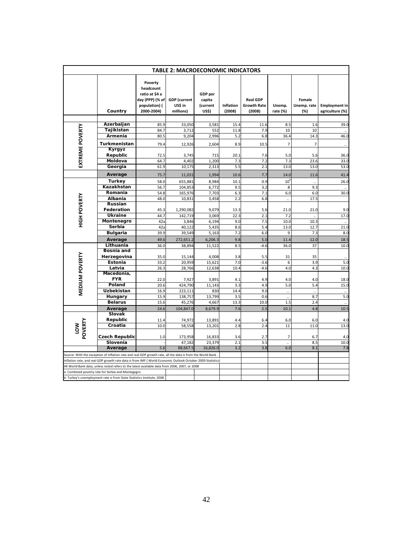| <b>TABLE 2: MACROECONOMIC INDICATORS</b> |                                                                                                            |                                                                                          |                                             |                                        |                            |                                                 |                      |                              |                                         |
|------------------------------------------|------------------------------------------------------------------------------------------------------------|------------------------------------------------------------------------------------------|---------------------------------------------|----------------------------------------|----------------------------|-------------------------------------------------|----------------------|------------------------------|-----------------------------------------|
|                                          | Country                                                                                                    | Poverty<br>headcount<br>ratio at \$4 a<br>day (PPP) (% of<br>population) (<br>2000-2004) | <b>GDP</b> (current<br>US\$ in<br>millions) | GDP per<br>capita<br>(current<br>US\$) | <b>Inflation</b><br>(2008) | <b>Real GDP</b><br><b>Growth Rate</b><br>(2008) | Unemp.<br>rate (%)   | Female<br>Unemp. rate<br>(%) | <b>Employment in</b><br>agriculture (%) |
|                                          | Azerbaijan                                                                                                 |                                                                                          |                                             |                                        |                            |                                                 |                      |                              |                                         |
|                                          | Tajikistan                                                                                                 | 85.9<br>84.7                                                                             | 33,050                                      | 3,581<br>552                           | 15.4                       | 11.6                                            | 8.5<br>10            | 1.6<br>10                    | 39.0                                    |
| EXTREME POVERTY                          | Armenia                                                                                                    | 80.5                                                                                     | 3,712<br>9,204                              | 2,996                                  | 11.8<br>5.2                | 7.9<br>6.8                                      | 36.4                 | 14.3                         | 46.0                                    |
|                                          |                                                                                                            |                                                                                          |                                             |                                        |                            |                                                 |                      |                              |                                         |
|                                          | Turkmenistan                                                                                               | 79.4                                                                                     | 12,926                                      | 2,604                                  | 8.9                        | 10.5                                            | $\overline{7}$       | $\overline{7}$               |                                         |
|                                          | Kyrgyz                                                                                                     |                                                                                          |                                             |                                        |                            |                                                 |                      |                              |                                         |
|                                          | Republic                                                                                                   | 72.5                                                                                     | 3,745                                       | 715                                    | 20.1                       | 7.6                                             | 5.0                  | 5.6                          | 36.0                                    |
|                                          | Moldova                                                                                                    | 64.7                                                                                     | 4,402                                       | 1,200                                  | 7.3                        | 7.2                                             | 7.3                  | 23.6                         | 33.0                                    |
|                                          | Georgia                                                                                                    | 61.9                                                                                     | 10,175                                      | 2,313                                  | 5.5                        | 2.1                                             | 13.0                 | 13.0                         | 53.0                                    |
|                                          | Average                                                                                                    | 75.7                                                                                     | 11,031                                      | 1,994                                  | 10.6                       | 7.7                                             | 14.0                 | 11.6                         | 41.4                                    |
|                                          | Turkey                                                                                                     | 58.0                                                                                     | 655,881                                     | 8,984                                  | 10.1                       | 0.9                                             | 10 <sup>t</sup>      |                              | 26.0                                    |
|                                          | Kazakhstan                                                                                                 | 56.7                                                                                     | 104,853                                     | 6,772                                  | 9.5                        | 3.2                                             | 8                    | 9.3                          |                                         |
|                                          | Romania                                                                                                    | 54.8                                                                                     | 165,976                                     | 7,703                                  | 6.3                        | 7.1                                             | 6.0                  | 6.0                          | 30.0                                    |
|                                          | Albania                                                                                                    | 48.0                                                                                     | 10,831                                      | 3,458                                  | 2.2                        | 6.8                                             | $\ddot{\phantom{0}}$ | 17.5                         |                                         |
|                                          | Russian                                                                                                    |                                                                                          |                                             |                                        |                            |                                                 |                      |                              |                                         |
|                                          | Federation                                                                                                 | 45.3                                                                                     | 1,290,082                                   | 9,079                                  | 13.3                       | 5.6                                             | 21.0                 | 21.0                         | 9.0                                     |
| <b>HIGH POVERTY</b>                      | <b>Ukraine</b>                                                                                             | 44.7                                                                                     | 142,719                                     | 3,069                                  | 22.3                       | 2.1                                             | 7.2                  | Ġ,                           | 17 <sub>c</sub>                         |
|                                          | Montenegro                                                                                                 | 42a                                                                                      | 3,846                                       | 6,194                                  | 9.0                        | 7.5                                             | 10.0                 | 10.3                         |                                         |
|                                          | Serbia                                                                                                     | 42a                                                                                      | 40,122                                      | 5,435                                  | 8.6                        | 5.4                                             | 13.0                 | 12.7                         | 21.0                                    |
|                                          | <b>Bulgaria</b>                                                                                            | 39.9                                                                                     | 39,549                                      | 5,163                                  | 7.2                        | 6.0                                             | 9                    | 7.3                          | 8 <sub>c</sub>                          |
|                                          | Average                                                                                                    | 49.6                                                                                     | 272,651.2                                   | 6,206.3                                | 9.8                        | 5.0                                             | 11.4                 | 12.0                         | 18.5                                    |
|                                          | Lithuania                                                                                                  | 36.0                                                                                     | 38,894                                      | 11,522                                 | 8.5                        | $-4.6$                                          | 36.0                 | 37                           | 10.0                                    |
|                                          | Bosnia and                                                                                                 |                                                                                          |                                             |                                        |                            |                                                 |                      |                              |                                         |
|                                          | Herzegovina                                                                                                | 35.0                                                                                     | 15,144                                      | 4,008                                  | 3.8                        | 5.5                                             | 31                   | 35                           |                                         |
|                                          | Estonia                                                                                                    | 33.2                                                                                     | 20,959                                      | 15,621                                 | 7.0                        | $-3.6$                                          | 6                    | 3.9                          | 5. <sub>C</sub>                         |
|                                          | Latvia                                                                                                     | 26.3                                                                                     | 28,766                                      | 12,638                                 | 10.4                       | $-4.6$                                          | 4.0                  | 4.3                          | 10.0                                    |
|                                          | Macedonia,                                                                                                 |                                                                                          |                                             |                                        |                            |                                                 |                      |                              |                                         |
|                                          | <b>FYR</b>                                                                                                 | 22.0                                                                                     | 7,927                                       | 3,891                                  | 4.1                        | 4.9                                             | 4.0                  | 4.0                          | 18.0                                    |
| <b>MEDIUM POVERTY</b>                    | Poland                                                                                                     | 20.6                                                                                     | 424,790                                     | 11,143                                 | 3.3                        | 4.9                                             | 5.0                  | 5.4                          | 15.0                                    |
|                                          | Uzbekistan                                                                                                 | 16.9                                                                                     | 223,111                                     | 830                                    | 14.4                       | 9.0                                             | $\ddot{\phantom{0}}$ | ă,                           |                                         |
|                                          | Hungary                                                                                                    | 15.9                                                                                     | 138,757                                     | 13,799                                 | 3.5                        | 0.6                                             |                      | 8.7                          | 5.0                                     |
|                                          | <b>Belarus</b>                                                                                             | 15.6                                                                                     | 45,276                                      | 4,667                                  | 13.3                       | 10.0                                            | 1.5                  | 2.4                          | $\ddot{\phantom{a}}$                    |
|                                          | Average<br><b>Slovak</b>                                                                                   | 24.6                                                                                     | 104,847.0                                   | 8,679.9                                | 7.6                        | 2.5                                             | 10.1                 | 4.8                          | 10.5                                    |
|                                          | Republic                                                                                                   |                                                                                          |                                             |                                        |                            |                                                 |                      |                              |                                         |
|                                          | Croatia                                                                                                    | 11.4<br>10.0                                                                             | 74,972<br>58,558                            | 13,891<br>13,201                       | 4.4<br>2.8                 | 6.4<br>2.4                                      | 6.0<br>11            | 6.0<br>11.0                  | 4.0<br>13.0                             |
| <b>NOT</b>                               |                                                                                                            |                                                                                          |                                             |                                        |                            |                                                 |                      |                              |                                         |
| POVERTY                                  | <b>Czech Republic</b>                                                                                      | 1.0                                                                                      | 173,958                                     | 16,833                                 | 3.6                        | 2.7                                             | 7                    | 6.7                          | 4.0                                     |
|                                          | Slovenia                                                                                                   |                                                                                          | 47,182                                      | 23,379                                 | 2.1                        | 3.5                                             |                      | 8.5                          | 10.0                                    |
|                                          | Average                                                                                                    | 5.6                                                                                      | 88,667.5                                    | 16,826.0                               | 3.2                        | 3.8                                             | 6.0                  | 8.1                          | 7.8                                     |
|                                          | Source: With the exception of Inflation rate and real GDP growth rate, all the data is from the World Bank |                                                                                          |                                             |                                        |                            |                                                 |                      |                              |                                         |
|                                          | Inflation rate, and real GDP growth rate data is from IMF (World Economic Outlook October 2009 Statistics) |                                                                                          |                                             |                                        |                            |                                                 |                      |                              |                                         |
|                                          | All World Bank data, unless noted refers to the latest available data from 2006, 2007, or 2008             |                                                                                          |                                             |                                        |                            |                                                 |                      |                              |                                         |
|                                          | a: Combined poverty rate for Serbia and Montegegro                                                         |                                                                                          |                                             |                                        |                            |                                                 |                      |                              |                                         |
|                                          | b: Turkey's unemployment rate is from State Statistics Institute, 2008.                                    |                                                                                          |                                             |                                        |                            |                                                 |                      |                              |                                         |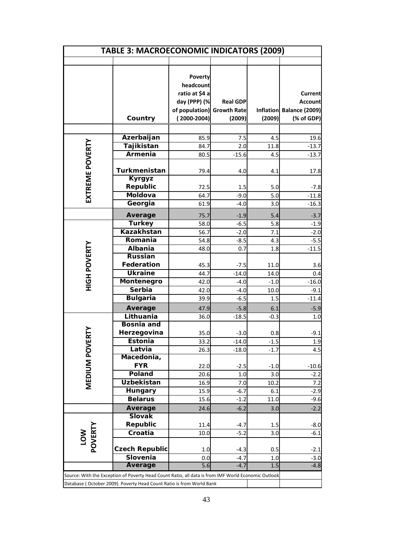| <b>TABLE 3: MACROECONOMIC INDICATORS (2009)</b> |                                                                                                     |                                                                                           |                                                 |             |                                                                            |  |  |  |
|-------------------------------------------------|-----------------------------------------------------------------------------------------------------|-------------------------------------------------------------------------------------------|-------------------------------------------------|-------------|----------------------------------------------------------------------------|--|--|--|
|                                                 |                                                                                                     |                                                                                           |                                                 |             |                                                                            |  |  |  |
|                                                 | Country                                                                                             | Poverty<br>headcount<br>ratio at \$4 a<br>day (PPP) (%<br>of population)<br>$(2000-2004)$ | <b>Real GDP</b><br><b>Growth Rate</b><br>(2009) | (2009)      | <b>Current</b><br><b>Account</b><br>Inflation Balance (2009)<br>(% of GDP) |  |  |  |
|                                                 |                                                                                                     |                                                                                           |                                                 |             |                                                                            |  |  |  |
|                                                 | Azerbaijan                                                                                          | 85.9                                                                                      | 7.5                                             | 4.5         | 19.6                                                                       |  |  |  |
|                                                 | Tajikistan                                                                                          | 84.7                                                                                      | 2.0                                             | 11.8        | $-13.7$                                                                    |  |  |  |
|                                                 | Armenia                                                                                             | 80.5                                                                                      | $-15.6$                                         | 4.5         | $-13.7$                                                                    |  |  |  |
| EXTREME POVERTY                                 | Turkmenistan                                                                                        | 79.4                                                                                      | 4.0                                             | 4.1         | 17.8                                                                       |  |  |  |
|                                                 | <b>Kyrgyz</b><br>Republic                                                                           |                                                                                           |                                                 |             |                                                                            |  |  |  |
|                                                 | <b>Moldova</b>                                                                                      | 72.5<br>64.7                                                                              | 1.5<br>$-9.0$                                   | 5.0<br>5.0  | $-7.8$                                                                     |  |  |  |
|                                                 | Georgia                                                                                             | 61.9                                                                                      | $-4.0$                                          | 3.0         | -11.8<br>$-16.3$                                                           |  |  |  |
|                                                 |                                                                                                     |                                                                                           |                                                 |             |                                                                            |  |  |  |
|                                                 | Average                                                                                             | 75.7                                                                                      | $-1.9$                                          | 5.4         | $-3.7$                                                                     |  |  |  |
|                                                 | <b>Turkey</b><br><b>Kazakhstan</b>                                                                  | 58.0                                                                                      | $-6.5$                                          | 5.8         | $-1.9$                                                                     |  |  |  |
|                                                 |                                                                                                     | 56.7                                                                                      | $-2.0$                                          | 7.1         | $-2.0$                                                                     |  |  |  |
|                                                 | Romania<br>Albania                                                                                  | 54.8                                                                                      | $-8.5$                                          | 4.3         | $-5.5$                                                                     |  |  |  |
|                                                 | <b>Russian</b>                                                                                      | 48.0                                                                                      | 0.7                                             | 1.8         | $-11.5$                                                                    |  |  |  |
|                                                 | Federation                                                                                          | 45.3                                                                                      | $-7.5$                                          | 11.0        | 3.6                                                                        |  |  |  |
|                                                 | <b>Ukraine</b>                                                                                      | 44.7                                                                                      | $-14.0$                                         | 14.0        | 0.4                                                                        |  |  |  |
| <b>HIGH POVERTY</b>                             | Montenegro                                                                                          | 42.0                                                                                      | $-4.0$                                          | $-1.0$      | $-16.0$                                                                    |  |  |  |
|                                                 | Serbia                                                                                              | 42.0                                                                                      | $-4.0$                                          | 10.0        | $-9.1$                                                                     |  |  |  |
|                                                 | <b>Bulgaria</b>                                                                                     | 39.9                                                                                      | $-6.5$                                          | 1.5         | $-11.4$                                                                    |  |  |  |
|                                                 | <b>Average</b>                                                                                      | 47.9                                                                                      | $-5.8$                                          | 6.1         | $-5.9$                                                                     |  |  |  |
|                                                 | Lithuania                                                                                           | 36.0                                                                                      | $-18.5$                                         | $-0.3$      | 1.0                                                                        |  |  |  |
|                                                 | <b>Bosnia and</b>                                                                                   |                                                                                           |                                                 |             |                                                                            |  |  |  |
|                                                 | Herzegovina                                                                                         | 35.0                                                                                      | $-3.0$                                          | 0.8         | $-9.1$                                                                     |  |  |  |
| VERT                                            | <b>Estonia</b>                                                                                      | 33.2                                                                                      | $-14.0$                                         | $-1.5$      | 1.9                                                                        |  |  |  |
|                                                 | Latvia                                                                                              | 26.3                                                                                      | $-18.0$                                         | $-1.7$      | 4.5                                                                        |  |  |  |
| <b>MEDIUM PO</b>                                | Macedonia,                                                                                          |                                                                                           |                                                 |             |                                                                            |  |  |  |
|                                                 | <b>FYR</b>                                                                                          | 22.0                                                                                      | $-2.5$                                          | $-1.0$      | $-10.6$                                                                    |  |  |  |
|                                                 | Poland                                                                                              | 20.6                                                                                      | 1.0                                             | 3.0         | $-2.2$                                                                     |  |  |  |
|                                                 | Uzbekistan<br>Hungary                                                                               | 16.9                                                                                      | 7.0                                             | 10.2        | 7.2<br>$-2.9$                                                              |  |  |  |
|                                                 | <b>Belarus</b>                                                                                      | 15.9<br>15.6                                                                              | $-6.7$<br>$-1.2$                                | 6.1<br>11.0 | $-9.6$                                                                     |  |  |  |
|                                                 | Average                                                                                             | 24.6                                                                                      | $-6.2$                                          | 3.0         | $-2.2$                                                                     |  |  |  |
|                                                 | <b>Slovak</b>                                                                                       |                                                                                           |                                                 |             |                                                                            |  |  |  |
|                                                 | Republic                                                                                            | 11.4                                                                                      | $-4.7$                                          | 1.5         | $-8.0$                                                                     |  |  |  |
|                                                 | Croatia                                                                                             | 10.0                                                                                      | $-5.2$                                          | 3.0         | $-6.1$                                                                     |  |  |  |
| LOW<br>POVERTY                                  | <b>Czech Republic</b>                                                                               | 1.0                                                                                       | $-4.3$                                          | 0.5         | $-2.1$                                                                     |  |  |  |
|                                                 | Slovenia                                                                                            | 0.0                                                                                       | $-4.7$<br>$-4.7$                                | 1.0         | $-3.0$                                                                     |  |  |  |
|                                                 | <b>Average</b>                                                                                      | 5.6                                                                                       |                                                 | 1.5         | $-4.8$                                                                     |  |  |  |
|                                                 | Source: With the Exception of Poverty Head Count Ratio, all data is from IMF World Economic Outlook |                                                                                           |                                                 |             |                                                                            |  |  |  |
|                                                 | Database (October 2009). Poverty Head Count Ratio is from World Bank                                |                                                                                           |                                                 |             |                                                                            |  |  |  |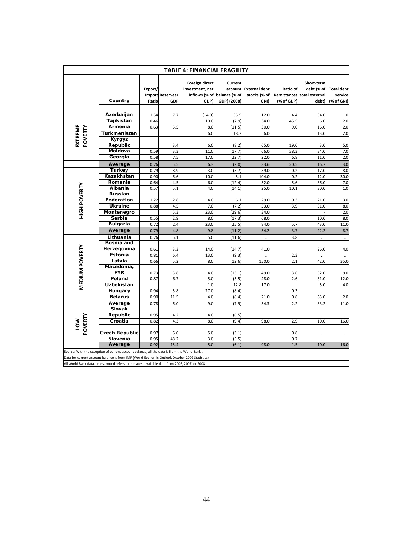| <b>TABLE 4: FINANCIAL FRAGILITY</b> |                                                                                                |                                             |            |                                                            |                                                           |                                              |                        |                                                                 |                                            |  |
|-------------------------------------|------------------------------------------------------------------------------------------------|---------------------------------------------|------------|------------------------------------------------------------|-----------------------------------------------------------|----------------------------------------------|------------------------|-----------------------------------------------------------------|--------------------------------------------|--|
|                                     | Country                                                                                        | Export/<br>Import Reserves/<br>GDP<br>Ratio |            | Foreign direct<br>investment, net<br>inflows (% of<br>GDP) | <b>Current</b><br>account<br>balance (% of<br>GDP) (2008) | <b>External debt</b><br>stocks (% of<br>GNI) | Ratio of<br>(% of GDP) | Short-term<br>debt (% of<br>Remittances total external<br>debt) | <b>Total debt</b><br>service<br>(% of GNI) |  |
|                                     |                                                                                                |                                             |            |                                                            |                                                           |                                              |                        |                                                                 |                                            |  |
|                                     | Azerbaijan                                                                                     | 1.54                                        | 7.7        | (14.0)                                                     | 35.5                                                      | 12.0                                         | 4.4                    | 34.0                                                            | 1.0                                        |  |
|                                     | Tajikistan                                                                                     | 0.46                                        |            | 10.0                                                       | (7.9)                                                     | 34.0                                         | 45.5                   | 6.0                                                             | 2.0                                        |  |
| EXTREME                             | Armenia                                                                                        | 0.63                                        | 5.5        | 8.0                                                        | (11.5)                                                    | 30.0                                         | 9.0                    | 16.0                                                            | 2.0                                        |  |
| POVERTY                             | Turkmenistan                                                                                   |                                             |            | 6.0                                                        | 18.7                                                      | 6.0                                          |                        | 13.0                                                            | 2.0                                        |  |
|                                     | Kyrgyz                                                                                         |                                             |            |                                                            |                                                           |                                              |                        |                                                                 |                                            |  |
|                                     | Republic                                                                                       |                                             | 3.4        | 6.0                                                        | (8.2)                                                     | 65.0                                         | 19.0                   | 3.0                                                             | 5.0                                        |  |
|                                     | Moldova                                                                                        | 0.59                                        | 3.3        | 11.0                                                       | (17.7)                                                    | 66.0                                         | 38.3                   | 34.0                                                            | 7.0                                        |  |
|                                     | Georgia                                                                                        | 0.58                                        | 7.5        | 17.0                                                       | (22.7)                                                    | 22.0                                         | 6.8                    | 11.0                                                            | 2.0                                        |  |
|                                     | Average                                                                                        | 0.76                                        | 5.5        | 6.3                                                        | (2.0)                                                     | 33.6                                         | 20.5                   | 16.7                                                            | 3.0                                        |  |
|                                     | <b>Turkey</b>                                                                                  | 0.79                                        | 8.9        | 3.0                                                        | (5.7)                                                     | 39.0                                         | 0.2                    | 17.0                                                            | 8.0                                        |  |
|                                     | Kazakhstan                                                                                     | 0.90                                        | 6.6        | 10.0                                                       | 5.1                                                       | 104.0                                        | 0.2                    | 12.0                                                            | 30.0                                       |  |
|                                     | Romania                                                                                        | 0.64                                        | 4.5        | 6.0                                                        | (12.4)                                                    | 52.0                                         | 5.6                    | 36.0                                                            | 7.0                                        |  |
| <b>HIGH POVERTY</b>                 | Albania                                                                                        | 0.57                                        | 5.1        | 4.0                                                        | (14.1)                                                    | 25.0                                         | 10.1                   | 30.0                                                            | 1.0                                        |  |
|                                     | <b>Russian</b>                                                                                 |                                             |            |                                                            |                                                           |                                              |                        |                                                                 |                                            |  |
|                                     | Federation                                                                                     | 1.22                                        | 2.8        | 4.0                                                        | 6.1                                                       | 29.0                                         | 0.3                    | 21.0                                                            | 3.0                                        |  |
|                                     | <b>Ukraine</b>                                                                                 | 0.88                                        | 4.5        | 7.0                                                        | (7.2)                                                     | 53.0                                         | 3.9                    | 31.0                                                            | 8.0                                        |  |
|                                     | Montenegro                                                                                     |                                             | 5.3        | 23.0                                                       | (29.6)                                                    | 34.0                                         |                        |                                                                 | 2.0                                        |  |
|                                     | Serbia                                                                                         | 0.55                                        | 2.9        | 8.0                                                        | (17.3)                                                    | 68.0                                         |                        | 10.0                                                            | 8.0                                        |  |
|                                     | <b>Bulgaria</b>                                                                                | 0.72                                        | 2.4        | 23.0                                                       | (25.5)                                                    | 84.0                                         | 5.7                    | 43.0                                                            | 11.0                                       |  |
|                                     | Average                                                                                        | 0.79                                        | 4.8        | 9.8                                                        | (11.2)                                                    | 54.2                                         | 3.7                    | 22.2                                                            | 8.7                                        |  |
|                                     | Lithuania                                                                                      | 0.76                                        | 5.1        | 5.0                                                        | (11.6)                                                    |                                              | 3.8                    | $\ddotsc$                                                       | $\ddot{\phantom{a}}$                       |  |
|                                     | <b>Bosnia and</b>                                                                              |                                             |            |                                                            |                                                           |                                              |                        |                                                                 |                                            |  |
|                                     | Herzegovina                                                                                    | 0.61                                        | 3.3        | 14.0                                                       | (14.7)                                                    | 41.0                                         |                        | 26.0                                                            | 4.0                                        |  |
|                                     | <b>Estonia</b>                                                                                 | 0.81                                        | 6.4        | 13.0                                                       | (9.3)                                                     |                                              | 2.3                    |                                                                 |                                            |  |
|                                     | Latvia                                                                                         | 0.66                                        | 5.2        | 8.0                                                        | (12.6)                                                    | 150.0                                        | 2.1                    | 42.0                                                            | 35.0                                       |  |
|                                     | Macedonia,                                                                                     |                                             |            |                                                            |                                                           |                                              |                        |                                                                 |                                            |  |
| <b>MEDIUM POVERTY</b>               | <b>FYR</b>                                                                                     | 0.73                                        | 3.8<br>6.7 | 4.0<br>5.0                                                 | (13.1)                                                    | 49.0                                         | 3.6                    | 32.0                                                            | 9.0                                        |  |
|                                     | Poland<br><b>Uzbekistan</b>                                                                    | 0.87                                        |            | 1.0                                                        | (5.5)<br>12.8                                             | 48.0<br>17.0                                 | 2.6                    | 31.0<br>5.0                                                     | 12.0<br>4.0                                |  |
|                                     | Hungary                                                                                        | 0.94                                        | 5.8        | 27.0                                                       | (8.4)                                                     |                                              | 0.3                    |                                                                 |                                            |  |
|                                     | <b>Belarus</b>                                                                                 | 0.90                                        | 11.5       | 4.0                                                        | (8.4)                                                     | 21.0                                         | 0.8                    | $\ddot{\phantom{1}}$<br>63.0                                    | ă,<br>2.0                                  |  |
|                                     | Average                                                                                        | 0.78                                        | 6.0        | 9.0                                                        | (7.9)                                                     | 54.3                                         | 2.2                    | 33.2                                                            | 11.0                                       |  |
|                                     | Slovak                                                                                         |                                             |            |                                                            |                                                           |                                              |                        |                                                                 |                                            |  |
|                                     | Republic                                                                                       | 0.95                                        | 4.2        | 4.0                                                        | (6.5)                                                     |                                              |                        |                                                                 |                                            |  |
| LOW<br>POVERTY                      | Croatia                                                                                        | 0.82                                        | 4.3        | 8.0                                                        | (9.4)                                                     | 98.0                                         | 2.9                    | 10.0                                                            | 16.0                                       |  |
|                                     |                                                                                                |                                             |            |                                                            |                                                           |                                              |                        |                                                                 |                                            |  |
|                                     | <b>Czech Republic</b>                                                                          | 0.97                                        | 5.0        | 5.0                                                        | (3.1)                                                     |                                              | 0.8                    | $\ddot{\phantom{a}}$                                            |                                            |  |
|                                     | Slovenia                                                                                       | 0.95                                        | 48.2       | 3.0                                                        | (5.5)                                                     |                                              | 0.7                    | $\ddot{\phantom{a}}$                                            |                                            |  |
|                                     | Average                                                                                        | 0.92                                        | 15.4       | 5.0                                                        | (6.1)                                                     | 98.0                                         | 1.5                    | 10.0                                                            | 16.0                                       |  |
|                                     | Source: With the exception of current account balance, all the data is from the World Bank     |                                             |            |                                                            |                                                           |                                              |                        |                                                                 |                                            |  |
|                                     | Data for current account balance is from IMF (World Economic Outlook October 2009 Statistics)  |                                             |            |                                                            |                                                           |                                              |                        |                                                                 |                                            |  |
|                                     | All World Bank data, unless noted refers to the latest available data from 2006, 2007, or 2008 |                                             |            |                                                            |                                                           |                                              |                        |                                                                 |                                            |  |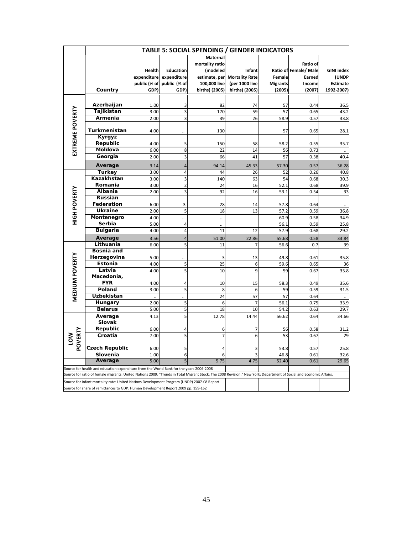|                     | <b>TABLE 5: SOCIAL SPENDING / GENDER INDICATORS</b>                                                                                                                |              |                  |                      |                              |                 |                       |                   |  |  |
|---------------------|--------------------------------------------------------------------------------------------------------------------------------------------------------------------|--------------|------------------|----------------------|------------------------------|-----------------|-----------------------|-------------------|--|--|
|                     |                                                                                                                                                                    |              |                  | <b>Maternal</b>      |                              |                 |                       |                   |  |  |
|                     |                                                                                                                                                                    |              |                  | mortality ratio      |                              |                 | Ratio of              |                   |  |  |
|                     |                                                                                                                                                                    | Health       | <b>Education</b> | (modeled             | Infant                       |                 | Ratio of Female/ Male | <b>GINI</b> index |  |  |
|                     |                                                                                                                                                                    | expenditure  | expenditure      |                      | estimate, per Mortality Rate | <b>Female</b>   | Earned                | (UNDP             |  |  |
|                     |                                                                                                                                                                    | public (% of | public (% of     | 100,000 live         | (per 1000 live               | <b>Migrants</b> | Income                | <b>Estimate</b>   |  |  |
|                     | Country                                                                                                                                                            | GDP)         | GDP)             | births) (2005)       | births) (2005)               | (2005)          | (2007)                | 1992-2007)        |  |  |
|                     |                                                                                                                                                                    |              |                  |                      |                              |                 |                       |                   |  |  |
|                     | Azerbaijan                                                                                                                                                         | 1.00         | 3                | 82                   | 74                           | 57              | 0.44                  | 36.5              |  |  |
|                     | Tajikistan                                                                                                                                                         | 3.00         | 3                | 170                  | 59                           | 57              | 0.65                  | 43.2              |  |  |
|                     | Armenia                                                                                                                                                            | 2.00         | 3                | 39                   | 26                           | 58.9            | 0.57                  | 33.8              |  |  |
| EXTREME POVERTY     | Turkmenistan                                                                                                                                                       | 4.00         |                  | 130                  |                              | 57              | 0.65                  | 28.1              |  |  |
|                     | Kyrgyz                                                                                                                                                             |              |                  |                      |                              |                 |                       |                   |  |  |
|                     | Republic                                                                                                                                                           | 4.00         | 5                | 150                  | 58                           | 58.2            | 0.55                  | 35.7              |  |  |
|                     | Moldova                                                                                                                                                            | 6.00         | 8                | 22                   | 14                           | 56              | 0.73                  |                   |  |  |
|                     | Georgia                                                                                                                                                            | 2.00         | 3                | 66                   | 41                           | 57              | 0.38                  | 40.4              |  |  |
|                     | Average                                                                                                                                                            | 3.14         | 4                | 94.14                | 45.33                        | 57.30           | 0.57                  | 36.28             |  |  |
|                     | <b>Turkey</b>                                                                                                                                                      | 3.00         | $\overline{4}$   | 44                   | 26                           | 52              | 0.26                  | 40.8              |  |  |
|                     | Kazakhstan                                                                                                                                                         | 3.00         | 3                | 140                  | 63                           | 54              | 0.68                  | 30.3              |  |  |
|                     | Romania                                                                                                                                                            | 3.00         | $\overline{2}$   | 24                   | 16                           | 52.1            | 0.68                  | 39.9              |  |  |
|                     | Albania                                                                                                                                                            | 2.00         | 3                | 92                   | 16                           | 53.1            | 0.54                  | 33                |  |  |
|                     | Russian                                                                                                                                                            |              |                  |                      |                              |                 |                       |                   |  |  |
| <b>HIGH POVERTY</b> | Federation                                                                                                                                                         | 6.00         | 3                | 28                   | 14                           | 57.8            | 0.64                  |                   |  |  |
|                     | <b>Ukraine</b>                                                                                                                                                     | 2.00         | 5                | 18                   | 13                           | 57.2            | 0.59                  | 36.8              |  |  |
|                     | Montenegro                                                                                                                                                         | 4.00         |                  | $\ddotsc$            |                              | 60.9            | 0.58                  | 34.9              |  |  |
|                     | Serbia                                                                                                                                                             | 5.00         | $\overline{4}$   | $\ddot{\phantom{a}}$ |                              | 56.1            | 0.59                  | 25.8              |  |  |
|                     | <b>Bulgaria</b>                                                                                                                                                    | 4.00         | $\overline{4}$   | 11                   | 12                           | 57.9            | 0.68                  | 29.2              |  |  |
|                     | Average                                                                                                                                                            | 3.56         | $\overline{4}$   | 51.00                | 22.86                        | 55.68           | 0.58                  | 33.84             |  |  |
|                     | Lithuania<br><b>Bosnia and</b>                                                                                                                                     | 6.00         | 5                | 11                   | 7                            | 56.6            | 0.7                   | 39                |  |  |
|                     | Herzegovina                                                                                                                                                        |              |                  |                      |                              | 49.8            |                       |                   |  |  |
|                     | Estonia                                                                                                                                                            | 5.00<br>4.00 | $\mathsf{S}$     | 25                   | 13<br>6                      | 59.6            | 0.61<br>0.65          | 35.8<br>36        |  |  |
|                     | Latvia                                                                                                                                                             | 4.00         | $\mathsf{s}$     | 10                   | $\overline{9}$               | 59              | 0.67                  | 35.8              |  |  |
|                     | Macedonia,                                                                                                                                                         |              |                  |                      |                              |                 |                       |                   |  |  |
|                     | <b>FYR</b>                                                                                                                                                         | 4.00         | 4                | 10                   | 15                           | 58.3            | 0.49                  | 35.6              |  |  |
| MEDIUM POVERTY      | Poland                                                                                                                                                             | 3.00         | 5                | 8                    | 6                            | 59              | 0.59                  | 31.5              |  |  |
|                     | Uzbekistan                                                                                                                                                         |              |                  | 24                   | 57                           | 57              | 0.64                  |                   |  |  |
|                     | Hungary                                                                                                                                                            | 2.00         | $\mathsf{S}$     | 6                    | $\overline{7}$               | 56.1            | 0.75                  | 33.9              |  |  |
|                     | <b>Belarus</b>                                                                                                                                                     | 5.00         | $\mathsf{S}$     | 18                   | 10                           | 54.2            | 0.63                  | 29.7              |  |  |
|                     | Average                                                                                                                                                            | 4.13         | $\mathsf{s}$     | 12.78                | 14.44                        | 56.62           | 0.64                  | 34.66             |  |  |
|                     | Slovak                                                                                                                                                             |              |                  |                      |                              |                 |                       |                   |  |  |
|                     | Republic                                                                                                                                                           | 6.00         | 4                | 6                    | 7                            | 56              | 0.58                  | 31.2              |  |  |
|                     | Croatia                                                                                                                                                            | 7.00         | 5                | 7                    | 6                            | 53              | 0.67                  | 29                |  |  |
| LOW<br>POVERTY      | Czech Republic                                                                                                                                                     | 6.00         | 5                | Δ                    | 3                            | 53.8            | 0.57                  | 25.8              |  |  |
|                     | Slovenia                                                                                                                                                           | 1.00         | $6 \overline{}$  | 6                    | 3                            | 46.8            | 0.61                  | 32.6              |  |  |
|                     | Average                                                                                                                                                            | 5.00         | 5                | 5.75                 | 4.75                         | 52.40           | 0.61                  | 29.65             |  |  |
|                     | Source for health and education expenditure from the World Bank for the years 2006-2008                                                                            |              |                  |                      |                              |                 |                       |                   |  |  |
|                     | Source for ratio of female migrants: United Nations 2009: "Trends in Total Migrant Stock: The 2008 Revision." New York: Department of Social and Economic Affairs. |              |                  |                      |                              |                 |                       |                   |  |  |
|                     | Source for Infant mortality rate: United Nations Development Program (UNDP) 2007-08 Report                                                                         |              |                  |                      |                              |                 |                       |                   |  |  |
|                     | Source for share of remittances to GDP: Human Development Report 2009 pp. 159-162                                                                                  |              |                  |                      |                              |                 |                       |                   |  |  |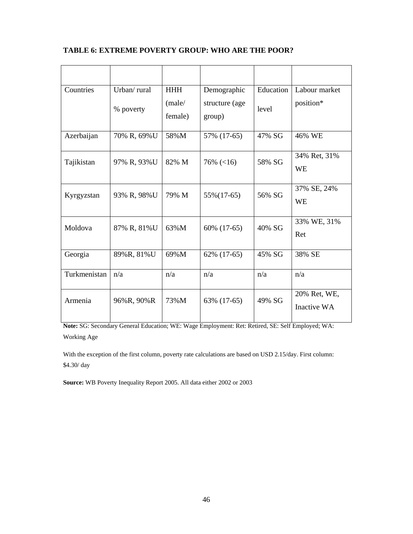# **TABLE 6: EXTREME POVERTY GROUP: WHO ARE THE POOR?**

| Countries    | Urban/rural | <b>HHH</b> | Demographic    | Education | Labour market |
|--------------|-------------|------------|----------------|-----------|---------------|
|              |             | (male/     | structure (age |           | position*     |
|              | % poverty   | female)    | group)         | level     |               |
|              |             |            |                |           |               |
| Azerbaijan   | 70% R, 69%U | 58%M       | 57% (17-65)    | 47% SG    | 46% WE        |
|              |             |            |                |           |               |
| Tajikistan   | 97% R, 93%U | 82% M      | $76\%$ (<16)   | 58% SG    | 34% Ret, 31%  |
|              |             |            |                |           | <b>WE</b>     |
|              |             |            |                |           |               |
| Kyrgyzstan   | 93% R, 98%U | 79% M      | 55% (17-65)    | 56% SG    | 37% SE, 24%   |
|              |             |            |                |           | WE            |
|              |             |            |                |           |               |
| Moldova      | 87% R, 81%U | 63%M       | 60% (17-65)    | 40% SG    | 33% WE, 31%   |
|              |             |            |                |           | Ret           |
| Georgia      | 89%R, 81%U  | 69%M       | 62% (17-65)    | 45% SG    | 38% SE        |
|              |             |            |                |           |               |
| Turkmenistan | n/a         | n/a        | n/a            | n/a       | n/a           |
|              |             |            |                |           |               |
| Armenia      | 96%R, 90%R  | 73%M       | 63% (17-65)    | 49% SG    | 20% Ret, WE,  |
|              |             |            |                |           | Inactive WA   |
|              |             |            |                |           |               |

**Note:** SG: Secondary General Education; WE: Wage Employment: Ret: Retired, SE: Self Employed; WA: Working Age

With the exception of the first column, poverty rate calculations are based on USD 2.15/day. First column: \$4.30/ day

**Source:** WB Poverty Inequality Report 2005. All data either 2002 or 2003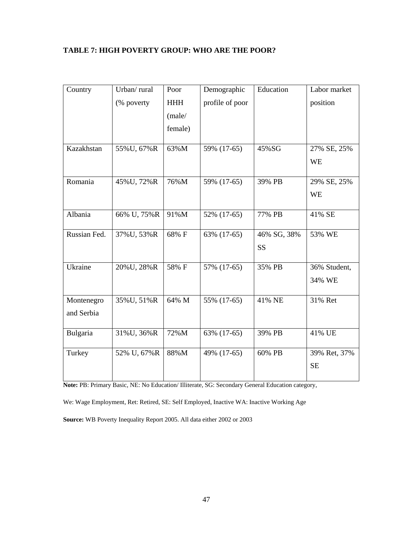# **TABLE 7: HIGH POVERTY GROUP: WHO ARE THE POOR?**

| Urban/rural  | Poor                                                     | Demographic                   | Education                                                | Labor market                        |
|--------------|----------------------------------------------------------|-------------------------------|----------------------------------------------------------|-------------------------------------|
| (% poverty   | <b>HHH</b>                                               | profile of poor               |                                                          | position                            |
|              | (male/                                                   |                               |                                                          |                                     |
|              | female)                                                  |                               |                                                          |                                     |
|              |                                                          |                               |                                                          |                                     |
|              |                                                          |                               |                                                          | 27% SE, 25%                         |
|              |                                                          |                               |                                                          | <b>WE</b>                           |
| 45% U, 72% R | 76%M                                                     | 59% (17-65)                   | 39% PB                                                   | 29% SE, 25%                         |
|              |                                                          |                               |                                                          | <b>WE</b>                           |
|              |                                                          |                               |                                                          |                                     |
|              |                                                          |                               |                                                          | 41% SE                              |
| 37%U, 53%R   | 68% F                                                    | 63% (17-65)                   | 46% SG, 38%                                              | 53% WE                              |
|              |                                                          |                               | SS                                                       |                                     |
| 20% U, 28% R | 58% F                                                    | 57% (17-65)                   | 35% PB                                                   | 36% Student,                        |
|              |                                                          |                               |                                                          | 34% WE                              |
|              |                                                          |                               |                                                          |                                     |
|              |                                                          |                               |                                                          | 31% Ret                             |
|              |                                                          |                               |                                                          |                                     |
| 31% U, 36% R | 72%M                                                     | 63% (17-65)                   | 39% PB                                                   | 41% UE                              |
|              |                                                          |                               |                                                          |                                     |
|              |                                                          |                               |                                                          | 39% Ret, 37%                        |
|              |                                                          |                               |                                                          | <b>SE</b>                           |
|              | 55%U, 67%R<br>66% U, 75%R<br>35% U, 51% R<br>52% U, 67%R | 63%M<br>91%M<br>64% M<br>88%M | 59% (17-65)<br>52% (17-65)<br>55% (17-65)<br>49% (17-65) | 45%SG<br>77% PB<br>41% NE<br>60% PB |

**Note:** PB: Primary Basic, NE: No Education/ Illiterate, SG: Secondary General Education category,

We: Wage Employment, Ret: Retired, SE: Self Employed, Inactive WA: Inactive Working Age

**Source:** WB Poverty Inequality Report 2005. All data either 2002 or 2003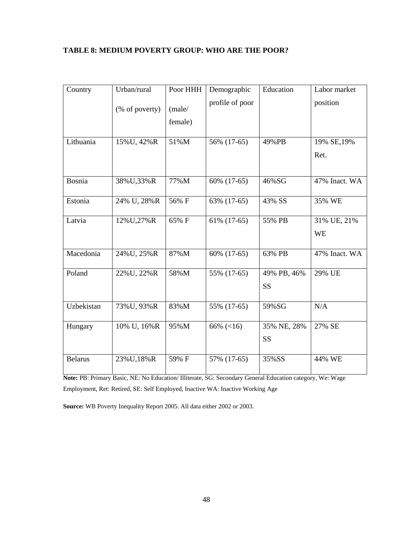# **TABLE 8: MEDIUM POVERTY GROUP: WHO ARE THE POOR?**

| Country        | Urban/rural    | Poor HHH | Demographic     | Education   | Labor market  |
|----------------|----------------|----------|-----------------|-------------|---------------|
|                | (% of poverty) | (male/   | profile of poor |             | position      |
|                |                | female)  |                 |             |               |
| Lithuania      | 15% U, 42% R   | 51%M     | 56% (17-65)     | 49%PB       | 19% SE, 19%   |
|                |                |          |                 |             | Ret.          |
|                |                |          |                 |             |               |
| Bosnia         | 38%U,33%R      | 77%M     | 60% (17-65)     | 46%SG       | 47% Inact. WA |
| Estonia        | 24% U, 28%R    | 56% F    | 63% (17-65)     | 43% SS      | 35% WE        |
| Latvia         | 12% U, 27% R   | 65% F    | 61% (17-65)     | 55% PB      | 31% UE, 21%   |
|                |                |          |                 |             | <b>WE</b>     |
| Macedonia      | 24% U, 25% R   | 87%M     | 60% (17-65)     | 63% PB      | 47% Inact. WA |
| Poland         | 22% U, 22% R   | 58%M     | 55% (17-65)     | 49% PB, 46% | 29% UE        |
|                |                |          |                 | <b>SS</b>   |               |
| Uzbekistan     | 73% U, 93% R   | 83%M     | 55% (17-65)     | 59%SG       | N/A           |
| Hungary        | 10% U, 16%R    | 95%M     | 66% $(<16)$     | 35% NE, 28% | 27% SE        |
|                |                |          |                 | <b>SS</b>   |               |
| <b>Belarus</b> | 23% U, 18% R   | 59% F    | 57% (17-65)     | 35%SS       | 44% WE        |

**Note:** PB: Primary Basic, NE: No Education/ Illiterate, SG: Secondary General Education category, We: Wage Employment, Ret: Retired, SE: Self Employed, Inactive WA: Inactive Working Age

**Source:** WB Poverty Inequality Report 2005. All data either 2002 or 2003.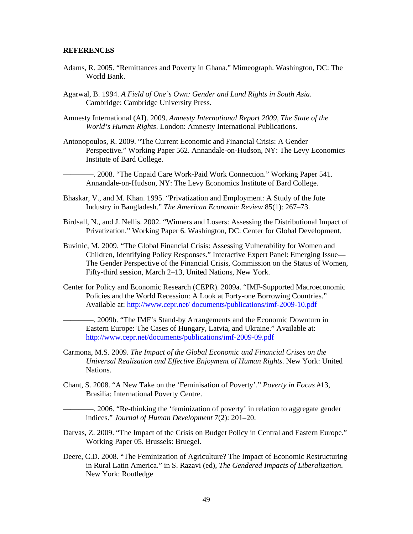### **REFERENCES**

- Adams, R. 2005. "Remittances and Poverty in Ghana." Mimeograph. Washington, DC: The World Bank.
- Agarwal, B. 1994. *A Field of One's Own: Gender and Land Rights in South Asia*. Cambridge: Cambridge University Press.
- Amnesty International (AI). 2009. *Amnesty International Report 2009, The State of the World's Human Rights*. London: Amnesty International Publications.
- Antonopoulos, R. 2009. "The Current Economic and Financial Crisis: A Gender Perspective." Working Paper 562. Annandale-on-Hudson, NY: The Levy Economics Institute of Bard College.

-. 2008. "The Unpaid Care Work-Paid Work Connection." Working Paper 541. Annandale-on-Hudson, NY: The Levy Economics Institute of Bard College.

- Bhaskar, V., and M. Khan. 1995. "Privatization and Employment: A Study of the Jute Industry in Bangladesh." *The American Economic Review* 85(1): 267–73.
- Birdsall, N., and J. Nellis. 2002. "Winners and Losers: Assessing the Distributional Impact of Privatization." Working Paper 6. Washington, DC: Center for Global Development.
- Buvinic, M. 2009. "The Global Financial Crisis: Assessing Vulnerability for Women and Children, Identifying Policy Responses." Interactive Expert Panel: Emerging Issue— The Gender Perspective of the Financial Crisis, Commission on the Status of Women, Fifty-third session, March 2–13, United Nations, New York.
- Center for Policy and Economic Research (CEPR). 2009a. "IMF-Supported Macroeconomic Policies and the World Recession: A Look at Forty-one Borrowing Countries." Available at: http://www.cepr.net/ documents/publications/imf-2009-10.pdf

————. 2009b. "The IMF's Stand-by Arrangements and the Economic Downturn in Eastern Europe: The Cases of Hungary, Latvia, and Ukraine." Available at: http://www.cepr.net/documents/publications/imf-2009-09.pdf

- Carmona, M.S. 2009. *The Impact of the Global Economic and Financial Crises on the Universal Realization and Effective Enjoyment of Human Rights*. New York: United Nations.
- Chant, S. 2008. "A New Take on the 'Feminisation of Poverty'." *Poverty in Focus* #13, Brasilia: International Poverty Centre.

————. 2006. "Re-thinking the 'feminization of poverty' in relation to aggregate gender indices." *Journal of Human Development* 7(2): 201–20.

- Darvas, Z. 2009. "The Impact of the Crisis on Budget Policy in Central and Eastern Europe." Working Paper 05. Brussels: Bruegel.
- Deere, C.D. 2008. "The Feminization of Agriculture? The Impact of Economic Restructuring in Rural Latin America." in S. Razavi (ed), *The Gendered Impacts of Liberalization*. New York: Routledge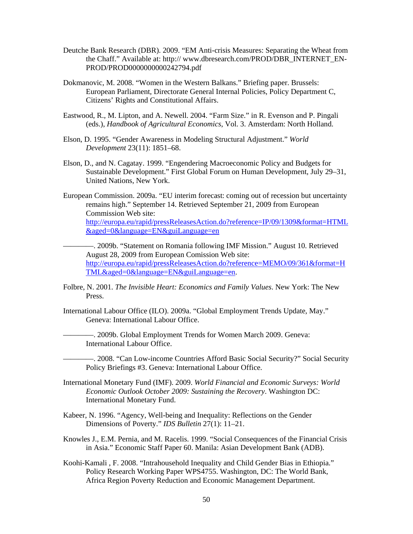- Deutche Bank Research (DBR). 2009. "EM Anti-crisis Measures: Separating the Wheat from the Chaff." Available at: http:// www.dbresearch.com/PROD/DBR\_INTERNET\_EN-PROD/PROD0000000000242794.pdf
- Dokmanovic, M. 2008. "Women in the Western Balkans." Briefing paper. Brussels: European Parliament, Directorate General Internal Policies, Policy Department C, Citizens' Rights and Constitutional Affairs.
- Eastwood, R., M. Lipton, and A. Newell. 2004. "Farm Size." in R. Evenson and P. Pingali (eds.), *Handbook of Agricultural Economics*, Vol. 3. Amsterdam: North Holland.
- Elson, D. 1995. "Gender Awareness in Modeling Structural Adjustment." *World Development* 23(11): 1851–68.
- Elson, D., and N. Cagatay. 1999. "Engendering Macroeconomic Policy and Budgets for Sustainable Development." First Global Forum on Human Development, July 29–31, United Nations, New York.
- European Commission. 2009a. "EU interim forecast: coming out of recession but uncertainty remains high." September 14. Retrieved September 21, 2009 from European Commission Web site: http://europa.eu/rapid/pressReleasesAction.do?reference=IP/09/1309&format=HTML &aged=0&language=EN&guiLanguage=en
- ————. 2009b. "Statement on Romania following IMF Mission." August 10. Retrieved August 28, 2009 from European Comission Web site: http://europa.eu/rapid/pressReleasesAction.do?reference=MEMO/09/361&format=H TML&aged=0&language=EN&guiLanguage=en.
- Folbre, N. 2001. *The Invisible Heart: Economics and Family Values*. New York: The New Press.
- International Labour Office (ILO). 2009a. "Global Employment Trends Update, May." Geneva: International Labour Office.
	- ————. 2009b. Global Employment Trends for Women March 2009. Geneva: International Labour Office.
	- ————. 2008. "Can Low-income Countries Afford Basic Social Security?" Social Security Policy Briefings #3. Geneva: International Labour Office.
- International Monetary Fund (IMF). 2009. *World Financial and Economic Surveys: World Economic Outlook October 2009: Sustaining the Recovery*. Washington DC: International Monetary Fund.
- Kabeer, N. 1996. "Agency, Well-being and Inequality: Reflections on the Gender Dimensions of Poverty." *IDS Bulletin* 27(1): 11–21.
- Knowles J., E.M. Pernia, and M. Racelis. 1999. "Social Consequences of the Financial Crisis in Asia." Economic Staff Paper 60. Manila: Asian Development Bank (ADB).
- Koohi-Kamali , F. 2008. "Intrahousehold Inequality and Child Gender Bias in Ethiopia." Policy Research Working Paper WPS4755. Washington, DC: The World Bank, Africa Region Poverty Reduction and Economic Management Department.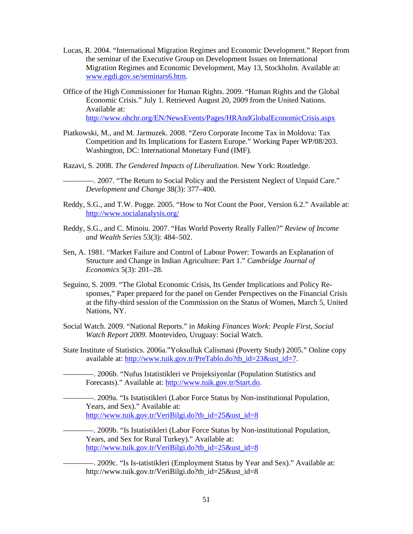- Lucas, R. 2004. "International Migration Regimes and Economic Development." Report from the seminar of the Executive Group on Development Issues on International Migration Regimes and Economic Development, May 13, Stockholm. Available at: www.egdi.gov.se/seminars6.htm.
- Office of the High Commissioner for Human Rights. 2009. "Human Rights and the Global Economic Crisis." July 1. Retrieved August 20, 2009 from the United Nations. Available at: http://www.ohchr.org/EN/NewsEvents/Pages/HRAndGlobalEconomicCrisis.aspx
- Piatkowski, M., and M. Jarmuzek. 2008. "Zero Corporate Income Tax in Moldova: Tax Competition and Its Implications for Eastern Europe." Working Paper WP/08/203. Washington, DC: International Monetary Fund (IMF).
- Razavi, S. 2008. *The Gendered Impacts of Liberalization*. New York: Routledge.
	- ————. 2007. "The Return to Social Policy and the Persistent Neglect of Unpaid Care." *Development and Change* 38(3): 377–400.
- Reddy, S.G., and T.W. Pogge. 2005. "How to Not Count the Poor, Version 6.2." Available at: http://www.socialanalysis.org/
- Reddy, S.G., and C. Minoiu. 2007. "Has World Poverty Really Fallen?" *Review of Income and Wealth Series* 53(3): 484–502.
- Sen, A. 1981. "Market Failure and Control of Labour Power: Towards an Explanation of Structure and Change in Indian Agriculture: Part 1." *Cambridge Journal of Economics* 5(3): 201–28.
- Seguino, S. 2009. "The Global Economic Crisis, Its Gender Implications and Policy Responses," Paper prepared for the panel on Gender Perspectives on the Financial Crisis at the fifty-third session of the Commission on the Status of Women, March 5, United Nations, NY.
- Social Watch. 2009. "National Reports." in *Making Finances Work: People First, Social Watch Report 2009*. Montevideo, Uruguay: Social Watch.
- State Institute of Statistics. 2006a."Yoksulluk Calismasi (Poverty Study) 2005." Online copy available at: http://www.tuik.gov.tr/PreTablo.do?tb\_id=23&ust\_id=7.
	- ————. 2006b. "Nufus Istatistikleri ve Projeksiyonlar (Population Statistics and Forecasts)." Available at: http://www.tuik.gov.tr/Start.do.
		- ————. 2009a. "Is Istatistikleri (Labor Force Status by Non-institutional Population, Years, and Sex)." Available at: http://www.tuik.gov.tr/VeriBilgi.do?tb\_id=25&ust\_id=8
		- ————. 2009b. "Is Istatistikleri (Labor Force Status by Non-institutional Population, Years, and Sex for Rural Turkey)." Available at: http://www.tuik.gov.tr/VeriBilgi.do?tb\_id=25&ust\_id=8
		- ————. 2009c. "Is Is-tatistikleri (Employment Status by Year and Sex)." Available at: http://www.tuik.gov.tr/VeriBilgi.do?tb\_id=25&ust\_id=8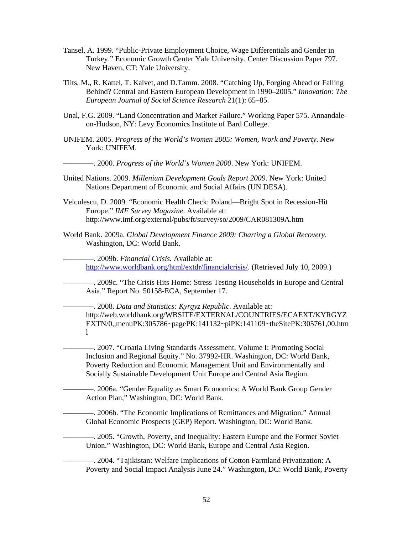- Tansel, A. 1999. "Public-Private Employment Choice, Wage Differentials and Gender in Turkey." Economic Growth Center Yale University. Center Discussion Paper 797. New Haven, CT: Yale University.
- Tiits, M., R. Kattel, T. Kalvet, and D.Tamm. 2008. "Catching Up, Forging Ahead or Falling Behind? Central and Eastern European Development in 1990–2005." *Innovation: The European Journal of Social Science Research* 21(1): 65–85.
- Unal, F.G. 2009. "Land Concentration and Market Failure." Working Paper 575. Annandaleon-Hudson, NY: Levy Economics Institute of Bard College.
- UNIFEM. 2005. *Progress of the World's Women 2005: Women, Work and Poverty*. New York: UNIFEM.

————. 2000. *Progress of the World's Women 2000*. New York: UNIFEM.

- United Nations. 2009. *Millenium Development Goals Report 2009*. New York: United Nations Department of Economic and Social Affairs (UN DESA).
- Velculescu, D. 2009. "Economic Health Check: Poland—Bright Spot in Recession-Hit Europe." *IMF Survey Magazine*. Available at: http://www.imf.org/external/pubs/ft/survey/so/2009/CAR081309A.htm
- World Bank. 2009a. *Global Development Finance 2009: Charting a Global Recovery*. Washington, DC: World Bank.

————. 2009b. *Financial Crisis.* Available at: http://www.worldbank.org/html/extdr/financialcrisis/. (Retrieved July 10, 2009.)

————. 2009c. "The Crisis Hits Home: Stress Testing Households in Europe and Central Asia." Report No. 50158-ECA, September 17.

————. 2008. *Data and Statistics: Kyrgyz Republic*. Available at: http://web.worldbank.org/WBSITE/EXTERNAL/COUNTRIES/ECAEXT/KYRGYZ EXTN/0,,menuPK:305786~pagePK:141132~piPK:141109~theSitePK:305761,00.htm  $\mathbf{1}$ 

————. 2007. "Croatia Living Standards Assessment, Volume I: Promoting Social Inclusion and Regional Equity." No. 37992-HR. Washington, DC: World Bank, Poverty Reduction and Economic Management Unit and Environmentally and Socially Sustainable Development Unit Europe and Central Asia Region.

————. 2006a. "Gender Equality as Smart Economics: A World Bank Group Gender Action Plan," Washington, DC: World Bank.

————. 2006b. "The Economic Implications of Remittances and Migration." Annual Global Economic Prospects (GEP) Report. Washington, DC: World Bank.

————. 2005. "Growth, Poverty, and Inequality: Eastern Europe and the Former Soviet Union." Washington, DC: World Bank, Europe and Central Asia Region.

————. 2004. "Tajikistan: Welfare Implications of Cotton Farmland Privatization: A Poverty and Social Impact Analysis June 24." Washington, DC: World Bank, Poverty